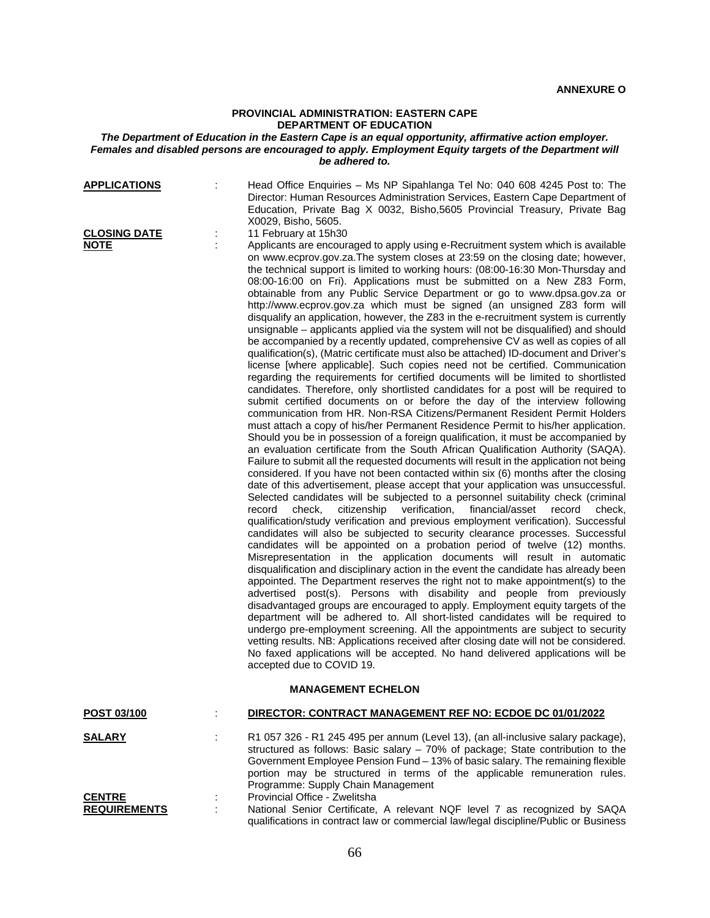#### **PROVINCIAL ADMINISTRATION: EASTERN CAPE DEPARTMENT OF EDUCATION**

## *The Department of Education in the Eastern Cape is an equal opportunity, affirmative action employer. Females and disabled persons are encouraged to apply. Employment Equity targets of the Department will be adhered to.*

| <b>APPLICATIONS</b>                | Head Office Enquiries - Ms NP Sipahlanga Tel No: 040 608 4245 Post to: The<br>Director: Human Resources Administration Services, Eastern Cape Department of<br>Education, Private Bag X 0032, Bisho, 5605 Provincial Treasury, Private Bag<br>X0029, Bisho, 5605.                                                                                                                                                                                                                                                                                                                                                                                                                                                                                                                                                                                                                                                                                                                                                                                                                                                                                                                                                                                                                                                                                                                                                                                                                                                                                                                                                                                                                                                                                                                                                                                                                                                                                                                                                                                                                                                                                                                                                                                                                                                                                                                                                                                                                                                                                                                                                                                                                                                                                                                                                                                                                                                                                                                                                                                                  |
|------------------------------------|--------------------------------------------------------------------------------------------------------------------------------------------------------------------------------------------------------------------------------------------------------------------------------------------------------------------------------------------------------------------------------------------------------------------------------------------------------------------------------------------------------------------------------------------------------------------------------------------------------------------------------------------------------------------------------------------------------------------------------------------------------------------------------------------------------------------------------------------------------------------------------------------------------------------------------------------------------------------------------------------------------------------------------------------------------------------------------------------------------------------------------------------------------------------------------------------------------------------------------------------------------------------------------------------------------------------------------------------------------------------------------------------------------------------------------------------------------------------------------------------------------------------------------------------------------------------------------------------------------------------------------------------------------------------------------------------------------------------------------------------------------------------------------------------------------------------------------------------------------------------------------------------------------------------------------------------------------------------------------------------------------------------------------------------------------------------------------------------------------------------------------------------------------------------------------------------------------------------------------------------------------------------------------------------------------------------------------------------------------------------------------------------------------------------------------------------------------------------------------------------------------------------------------------------------------------------------------------------------------------------------------------------------------------------------------------------------------------------------------------------------------------------------------------------------------------------------------------------------------------------------------------------------------------------------------------------------------------------------------------------------------------------------------------------------------------------|
| <b>CLOSING DATE</b><br><b>NOTE</b> | 11 February at 15h30<br>Applicants are encouraged to apply using e-Recruitment system which is available<br>on www.ecprov.gov.za.The system closes at 23:59 on the closing date; however,<br>the technical support is limited to working hours: (08:00-16:30 Mon-Thursday and<br>08:00-16:00 on Fri). Applications must be submitted on a New Z83 Form,<br>obtainable from any Public Service Department or go to www.dpsa.gov.za or<br>http://www.ecprov.gov.za which must be signed (an unsigned Z83 form will<br>disqualify an application, however, the Z83 in the e-recruitment system is currently<br>unsignable – applicants applied via the system will not be disqualified) and should<br>be accompanied by a recently updated, comprehensive CV as well as copies of all<br>qualification(s), (Matric certificate must also be attached) ID-document and Driver's<br>license [where applicable]. Such copies need not be certified. Communication<br>regarding the requirements for certified documents will be limited to shortlisted<br>candidates. Therefore, only shortlisted candidates for a post will be required to<br>submit certified documents on or before the day of the interview following<br>communication from HR. Non-RSA Citizens/Permanent Resident Permit Holders<br>must attach a copy of his/her Permanent Residence Permit to his/her application.<br>Should you be in possession of a foreign qualification, it must be accompanied by<br>an evaluation certificate from the South African Qualification Authority (SAQA).<br>Failure to submit all the requested documents will result in the application not being<br>considered. If you have not been contacted within six (6) months after the closing<br>date of this advertisement, please accept that your application was unsuccessful.<br>Selected candidates will be subjected to a personnel suitability check (criminal<br>verification,<br>financial/asset<br>record<br>check,<br>citizenship<br>record<br>check.<br>qualification/study verification and previous employment verification). Successful<br>candidates will also be subjected to security clearance processes. Successful<br>candidates will be appointed on a probation period of twelve (12) months.<br>Misrepresentation in the application documents will result in automatic<br>disqualification and disciplinary action in the event the candidate has already been<br>appointed. The Department reserves the right not to make appointment(s) to the<br>advertised post(s). Persons with disability and people from previously<br>disadvantaged groups are encouraged to apply. Employment equity targets of the<br>department will be adhered to. All short-listed candidates will be required to<br>undergo pre-employment screening. All the appointments are subject to security<br>vetting results. NB: Applications received after closing date will not be considered.<br>No faxed applications will be accepted. No hand delivered applications will be<br>accepted due to COVID 19. |
|                                    | <b>MANAGEMENT ECHELON</b>                                                                                                                                                                                                                                                                                                                                                                                                                                                                                                                                                                                                                                                                                                                                                                                                                                                                                                                                                                                                                                                                                                                                                                                                                                                                                                                                                                                                                                                                                                                                                                                                                                                                                                                                                                                                                                                                                                                                                                                                                                                                                                                                                                                                                                                                                                                                                                                                                                                                                                                                                                                                                                                                                                                                                                                                                                                                                                                                                                                                                                          |
| POST 03/100                        | DIRECTOR: CONTRACT MANAGEMENT REF NO: ECDOE DC 01/01/2022                                                                                                                                                                                                                                                                                                                                                                                                                                                                                                                                                                                                                                                                                                                                                                                                                                                                                                                                                                                                                                                                                                                                                                                                                                                                                                                                                                                                                                                                                                                                                                                                                                                                                                                                                                                                                                                                                                                                                                                                                                                                                                                                                                                                                                                                                                                                                                                                                                                                                                                                                                                                                                                                                                                                                                                                                                                                                                                                                                                                          |
| <b>SALARY</b>                      | R1 057 326 - R1 245 495 per annum (Level 13), (an all-inclusive salary package),<br>structured as follows: Basic salary - 70% of package; State contribution to the<br>Government Employee Pension Fund - 13% of basic salary. The remaining flexible<br>portion may be structured in terms of the applicable remuneration rules.<br>Programme: Supply Chain Management                                                                                                                                                                                                                                                                                                                                                                                                                                                                                                                                                                                                                                                                                                                                                                                                                                                                                                                                                                                                                                                                                                                                                                                                                                                                                                                                                                                                                                                                                                                                                                                                                                                                                                                                                                                                                                                                                                                                                                                                                                                                                                                                                                                                                                                                                                                                                                                                                                                                                                                                                                                                                                                                                            |
| <b>CENTRE</b>                      | Provincial Office - Zwelitsha                                                                                                                                                                                                                                                                                                                                                                                                                                                                                                                                                                                                                                                                                                                                                                                                                                                                                                                                                                                                                                                                                                                                                                                                                                                                                                                                                                                                                                                                                                                                                                                                                                                                                                                                                                                                                                                                                                                                                                                                                                                                                                                                                                                                                                                                                                                                                                                                                                                                                                                                                                                                                                                                                                                                                                                                                                                                                                                                                                                                                                      |

| <b>REQUIREMENTS</b> | National Senior Certificate, A relevant NQF level 7 as recognized by SAQA            |
|---------------------|--------------------------------------------------------------------------------------|
|                     | qualifications in contract law or commercial law/legal discipline/Public or Business |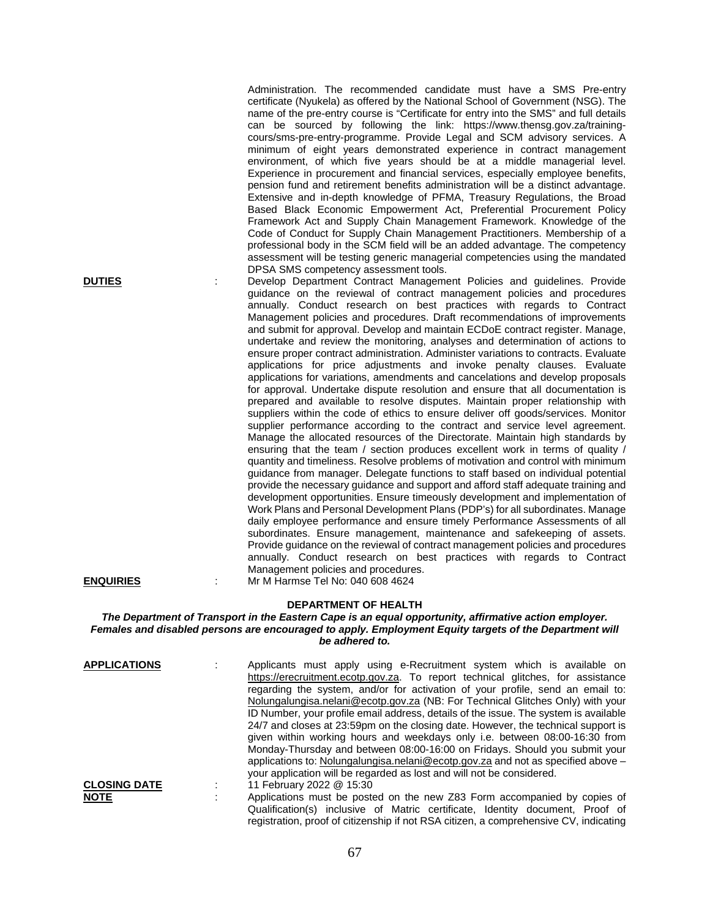Administration. The recommended candidate must have a SMS Pre-entry certificate (Nyukela) as offered by the National School of Government (NSG). The name of the pre-entry course is "Certificate for entry into the SMS" and full details can be sourced by following the link: https://www.thensg.gov.za/trainingcours/sms-pre-entry-programme. Provide Legal and SCM advisory services. A minimum of eight years demonstrated experience in contract management environment, of which five years should be at a middle managerial level. Experience in procurement and financial services, especially employee benefits, pension fund and retirement benefits administration will be a distinct advantage. Extensive and in-depth knowledge of PFMA, Treasury Regulations, the Broad Based Black Economic Empowerment Act, Preferential Procurement Policy Framework Act and Supply Chain Management Framework. Knowledge of the Code of Conduct for Supply Chain Management Practitioners. Membership of a professional body in the SCM field will be an added advantage. The competency assessment will be testing generic managerial competencies using the mandated DPSA SMS competency assessment tools.

**DUTIES** : Develop Department Contract Management Policies and guidelines. Provide guidance on the reviewal of contract management policies and procedures annually. Conduct research on best practices with regards to Contract Management policies and procedures. Draft recommendations of improvements and submit for approval. Develop and maintain ECDoE contract register. Manage, undertake and review the monitoring, analyses and determination of actions to ensure proper contract administration. Administer variations to contracts. Evaluate applications for price adjustments and invoke penalty clauses. Evaluate applications for variations, amendments and cancelations and develop proposals for approval. Undertake dispute resolution and ensure that all documentation is prepared and available to resolve disputes. Maintain proper relationship with suppliers within the code of ethics to ensure deliver off goods/services. Monitor supplier performance according to the contract and service level agreement. Manage the allocated resources of the Directorate. Maintain high standards by ensuring that the team / section produces excellent work in terms of quality / quantity and timeliness. Resolve problems of motivation and control with minimum guidance from manager. Delegate functions to staff based on individual potential provide the necessary guidance and support and afford staff adequate training and development opportunities. Ensure timeously development and implementation of Work Plans and Personal Development Plans (PDP's) for all subordinates. Manage daily employee performance and ensure timely Performance Assessments of all subordinates. Ensure management, maintenance and safekeeping of assets. Provide guidance on the reviewal of contract management policies and procedures annually. Conduct research on best practices with regards to Contract Management policies and procedures. **ENQUIRIES** : Mr M Harmse Tel No: 040 608 4624

# **DEPARTMENT OF HEALTH**

*The Department of Transport in the Eastern Cape is an equal opportunity, affirmative action employer. Females and disabled persons are encouraged to apply. Employment Equity targets of the Department will be adhered to.*

| <b>APPLICATIONS</b> | Applicants must apply using e-Recruitment system which is available on                |
|---------------------|---------------------------------------------------------------------------------------|
|                     | https://erecruitment.ecotp.gov.za. To report technical glitches, for assistance       |
|                     | regarding the system, and/or for activation of your profile, send an email to:        |
|                     | Nolungalungisa.nelani@ecotp.gov.za (NB: For Technical Glitches Only) with your        |
|                     | ID Number, your profile email address, details of the issue. The system is available  |
|                     | 24/7 and closes at 23:59pm on the closing date. However, the technical support is     |
|                     | given within working hours and weekdays only i.e. between 08:00-16:30 from            |
|                     | Monday-Thursday and between 08:00-16:00 on Fridays. Should you submit your            |
|                     | applications to: Nolungalungisa.nelani@ecotp.gov.za and not as specified above $-$    |
|                     | your application will be regarded as lost and will not be considered.                 |
| <b>CLOSING DATE</b> | 11 February 2022 @ 15:30                                                              |
| <b>NOTE</b>         | Applications must be posted on the new Z83 Form accompanied by copies of              |
|                     | Qualification(s) inclusive of Matric certificate, Identity document, Proof of         |
|                     | registration, proof of citizenship if not RSA citizen, a comprehensive CV, indicating |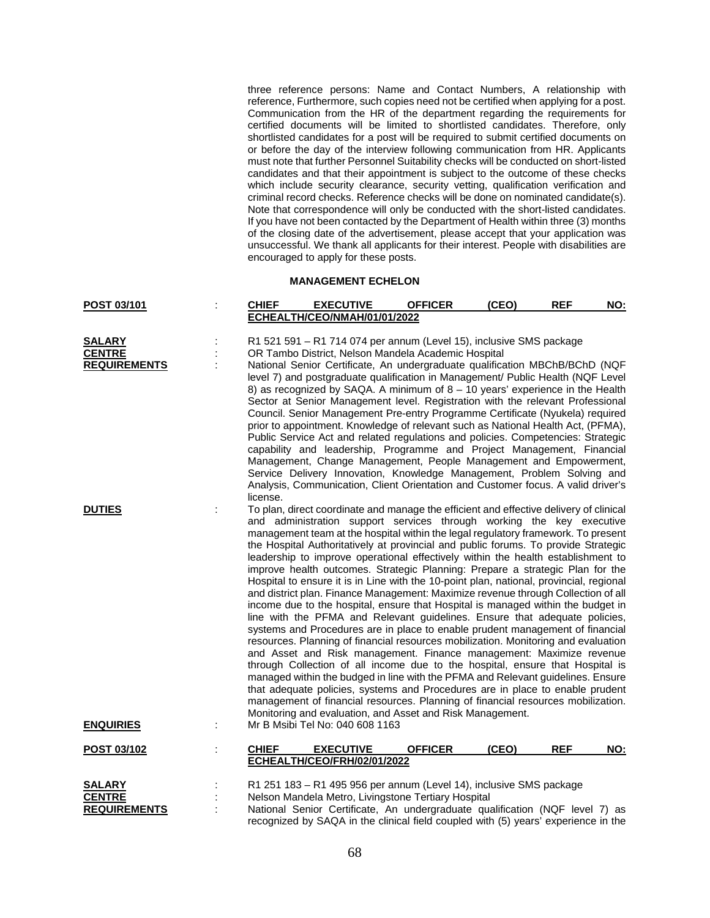three reference persons: Name and Contact Numbers, A relationship with reference, Furthermore, such copies need not be certified when applying for a post. Communication from the HR of the department regarding the requirements for certified documents will be limited to shortlisted candidates. Therefore, only shortlisted candidates for a post will be required to submit certified documents on or before the day of the interview following communication from HR. Applicants must note that further Personnel Suitability checks will be conducted on short-listed candidates and that their appointment is subject to the outcome of these checks which include security clearance, security vetting, qualification verification and criminal record checks. Reference checks will be done on nominated candidate(s). Note that correspondence will only be conducted with the short-listed candidates. If you have not been contacted by the Department of Health within three (3) months of the closing date of the advertisement, please accept that your application was unsuccessful. We thank all applicants for their interest. People with disabilities are encouraged to apply for these posts.

# **MANAGEMENT ECHELON**

| POST 03/101                                    | <b>CHIEF</b> | <b>EXECUTIVE</b>                                                                                                                                                                                                                                                                                                                                                                                                                                                                                                                                                                                                                                                                                                                                                                                                                                                                                                                                                                                                                                                                                                                                                                                                                                                                                                                                                                                                                                                                                                      | <b>OFFICER</b> | (CEO) | <b>REF</b> | NO: |
|------------------------------------------------|--------------|-----------------------------------------------------------------------------------------------------------------------------------------------------------------------------------------------------------------------------------------------------------------------------------------------------------------------------------------------------------------------------------------------------------------------------------------------------------------------------------------------------------------------------------------------------------------------------------------------------------------------------------------------------------------------------------------------------------------------------------------------------------------------------------------------------------------------------------------------------------------------------------------------------------------------------------------------------------------------------------------------------------------------------------------------------------------------------------------------------------------------------------------------------------------------------------------------------------------------------------------------------------------------------------------------------------------------------------------------------------------------------------------------------------------------------------------------------------------------------------------------------------------------|----------------|-------|------------|-----|
|                                                |              | ECHEALTH/CEO/NMAH/01/01/2022                                                                                                                                                                                                                                                                                                                                                                                                                                                                                                                                                                                                                                                                                                                                                                                                                                                                                                                                                                                                                                                                                                                                                                                                                                                                                                                                                                                                                                                                                          |                |       |            |     |
| <b>SALARY</b><br><b>CENTRE</b>                 |              | R1 521 591 - R1 714 074 per annum (Level 15), inclusive SMS package                                                                                                                                                                                                                                                                                                                                                                                                                                                                                                                                                                                                                                                                                                                                                                                                                                                                                                                                                                                                                                                                                                                                                                                                                                                                                                                                                                                                                                                   |                |       |            |     |
| <b>REQUIREMENTS</b>                            | license.     | OR Tambo District, Nelson Mandela Academic Hospital<br>National Senior Certificate, An undergraduate qualification MBChB/BChD (NQF<br>level 7) and postgraduate qualification in Management/ Public Health (NQF Level<br>8) as recognized by SAQA. A minimum of $8 - 10$ years' experience in the Health<br>Sector at Senior Management level. Registration with the relevant Professional<br>Council. Senior Management Pre-entry Programme Certificate (Nyukela) required<br>prior to appointment. Knowledge of relevant such as National Health Act, (PFMA),<br>Public Service Act and related regulations and policies. Competencies: Strategic<br>capability and leadership, Programme and Project Management, Financial<br>Management, Change Management, People Management and Empowerment,<br>Service Delivery Innovation, Knowledge Management, Problem Solving and<br>Analysis, Communication, Client Orientation and Customer focus. A valid driver's                                                                                                                                                                                                                                                                                                                                                                                                                                                                                                                                                      |                |       |            |     |
| <b>DUTIES</b>                                  |              | To plan, direct coordinate and manage the efficient and effective delivery of clinical<br>and administration support services through working the key executive<br>management team at the hospital within the legal regulatory framework. To present<br>the Hospital Authoritatively at provincial and public forums. To provide Strategic<br>leadership to improve operational effectively within the health establishment to<br>improve health outcomes. Strategic Planning: Prepare a strategic Plan for the<br>Hospital to ensure it is in Line with the 10-point plan, national, provincial, regional<br>and district plan. Finance Management: Maximize revenue through Collection of all<br>income due to the hospital, ensure that Hospital is managed within the budget in<br>line with the PFMA and Relevant guidelines. Ensure that adequate policies,<br>systems and Procedures are in place to enable prudent management of financial<br>resources. Planning of financial resources mobilization. Monitoring and evaluation<br>and Asset and Risk management. Finance management: Maximize revenue<br>through Collection of all income due to the hospital, ensure that Hospital is<br>managed within the budged in line with the PFMA and Relevant guidelines. Ensure<br>that adequate policies, systems and Procedures are in place to enable prudent<br>management of financial resources. Planning of financial resources mobilization.<br>Monitoring and evaluation, and Asset and Risk Management. |                |       |            |     |
| <b>ENQUIRIES</b>                               |              | Mr B Msibi Tel No: 040 608 1163                                                                                                                                                                                                                                                                                                                                                                                                                                                                                                                                                                                                                                                                                                                                                                                                                                                                                                                                                                                                                                                                                                                                                                                                                                                                                                                                                                                                                                                                                       |                |       |            |     |
| POST 03/102                                    | <b>CHIEF</b> | <b>EXECUTIVE</b><br>ECHEALTH/CEO/FRH/02/01/2022                                                                                                                                                                                                                                                                                                                                                                                                                                                                                                                                                                                                                                                                                                                                                                                                                                                                                                                                                                                                                                                                                                                                                                                                                                                                                                                                                                                                                                                                       | <b>OFFICER</b> | (CEO) | <b>REF</b> | NO: |
| SALARY<br><b>CENTRE</b><br><b>DEAILDEMENTS</b> |              | R1 251 183 - R1 495 956 per annum (Level 14), inclusive SMS package<br>Nelson Mandela Metro, Livingstone Tertiary Hospital<br>National Sepier Certificate. An undergraduate qualification (NOE level 7) as                                                                                                                                                                                                                                                                                                                                                                                                                                                                                                                                                                                                                                                                                                                                                                                                                                                                                                                                                                                                                                                                                                                                                                                                                                                                                                            |                |       |            |     |

**REQUIREMENTS** : National Senior Certificate, An undergraduate qualification (NQF level 7) as recognized by SAQA in the clinical field coupled with (5) years' experience in the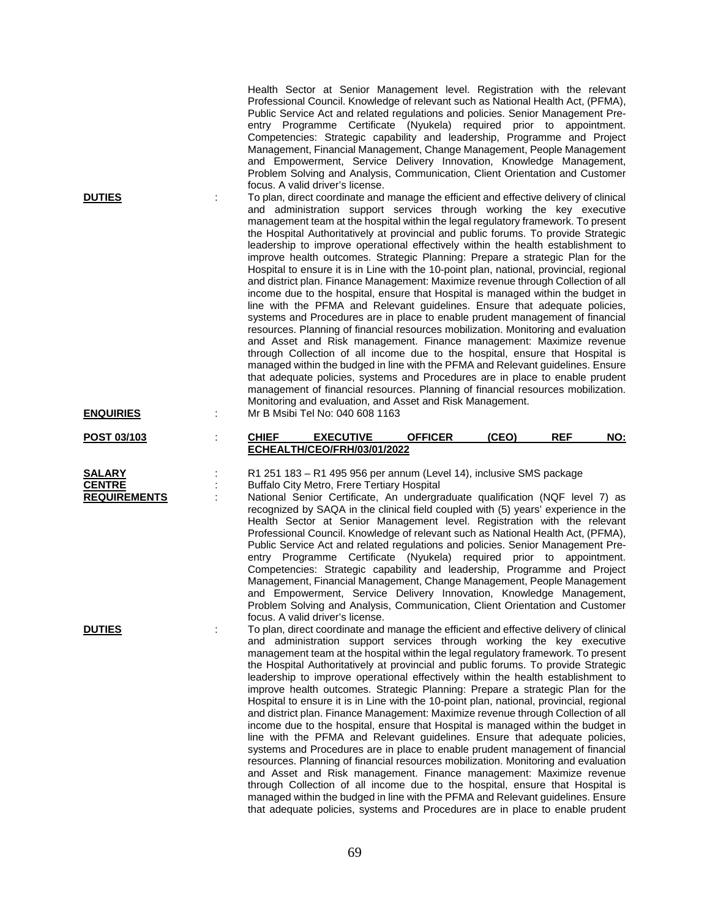| <b>DUTIES</b>                                         | Health Sector at Senior Management level. Registration with the relevant<br>Professional Council. Knowledge of relevant such as National Health Act, (PFMA),<br>Public Service Act and related regulations and policies. Senior Management Pre-<br>entry Programme Certificate (Nyukela) required prior to appointment.<br>Competencies: Strategic capability and leadership, Programme and Project<br>Management, Financial Management, Change Management, People Management<br>and Empowerment, Service Delivery Innovation, Knowledge Management,<br>Problem Solving and Analysis, Communication, Client Orientation and Customer<br>focus. A valid driver's license.<br>To plan, direct coordinate and manage the efficient and effective delivery of clinical<br>and administration support services through working the key executive<br>management team at the hospital within the legal regulatory framework. To present<br>the Hospital Authoritatively at provincial and public forums. To provide Strategic<br>leadership to improve operational effectively within the health establishment to<br>improve health outcomes. Strategic Planning: Prepare a strategic Plan for the<br>Hospital to ensure it is in Line with the 10-point plan, national, provincial, regional<br>and district plan. Finance Management: Maximize revenue through Collection of all<br>income due to the hospital, ensure that Hospital is managed within the budget in<br>line with the PFMA and Relevant guidelines. Ensure that adequate policies,<br>systems and Procedures are in place to enable prudent management of financial<br>resources. Planning of financial resources mobilization. Monitoring and evaluation<br>and Asset and Risk management. Finance management: Maximize revenue<br>through Collection of all income due to the hospital, ensure that Hospital is<br>managed within the budged in line with the PFMA and Relevant guidelines. Ensure<br>that adequate policies, systems and Procedures are in place to enable prudent<br>management of financial resources. Planning of financial resources mobilization. |                                   |
|-------------------------------------------------------|--------------------------------------------------------------------------------------------------------------------------------------------------------------------------------------------------------------------------------------------------------------------------------------------------------------------------------------------------------------------------------------------------------------------------------------------------------------------------------------------------------------------------------------------------------------------------------------------------------------------------------------------------------------------------------------------------------------------------------------------------------------------------------------------------------------------------------------------------------------------------------------------------------------------------------------------------------------------------------------------------------------------------------------------------------------------------------------------------------------------------------------------------------------------------------------------------------------------------------------------------------------------------------------------------------------------------------------------------------------------------------------------------------------------------------------------------------------------------------------------------------------------------------------------------------------------------------------------------------------------------------------------------------------------------------------------------------------------------------------------------------------------------------------------------------------------------------------------------------------------------------------------------------------------------------------------------------------------------------------------------------------------------------------------------------------------------------------------------------------------------------------|-----------------------------------|
| <b>ENQUIRIES</b>                                      | Monitoring and evaluation, and Asset and Risk Management.<br>Mr B Msibi Tel No: 040 608 1163                                                                                                                                                                                                                                                                                                                                                                                                                                                                                                                                                                                                                                                                                                                                                                                                                                                                                                                                                                                                                                                                                                                                                                                                                                                                                                                                                                                                                                                                                                                                                                                                                                                                                                                                                                                                                                                                                                                                                                                                                                         |                                   |
| POST 03/103                                           | <b>CHIEF</b><br><b>EXECUTIVE</b><br><b>OFFICER</b><br>ECHEALTH/CEO/FRH/03/01/2022                                                                                                                                                                                                                                                                                                                                                                                                                                                                                                                                                                                                                                                                                                                                                                                                                                                                                                                                                                                                                                                                                                                                                                                                                                                                                                                                                                                                                                                                                                                                                                                                                                                                                                                                                                                                                                                                                                                                                                                                                                                    | <b>REF</b><br>(CEO)<br><b>NO:</b> |
| <b>SALARY</b><br><b>CENTRE</b><br><b>REQUIREMENTS</b> | R1 251 183 - R1 495 956 per annum (Level 14), inclusive SMS package<br>Buffalo City Metro, Frere Tertiary Hospital<br>National Senior Certificate, An undergraduate qualification (NQF level 7) as<br>recognized by SAQA in the clinical field coupled with (5) years' experience in the<br>Health Sector at Senior Management level. Registration with the relevant<br>Professional Council. Knowledge of relevant such as National Health Act, (PFMA),<br>Public Service Act and related regulations and policies. Senior Management Pre-<br>entry Programme Certificate (Nyukela) required prior to appointment.<br>Competencies: Strategic capability and leadership, Programme and Project<br>Management, Financial Management, Change Management, People Management<br>and Empowerment, Service Delivery Innovation, Knowledge Management,<br>Problem Solving and Analysis, Communication, Client Orientation and Customer<br>focus. A valid driver's license.                                                                                                                                                                                                                                                                                                                                                                                                                                                                                                                                                                                                                                                                                                                                                                                                                                                                                                                                                                                                                                                                                                                                                                 |                                   |
| <b>DUTIES</b>                                         | To plan, direct coordinate and manage the efficient and effective delivery of clinical<br>and administration support services through working the key executive<br>management team at the hospital within the legal regulatory framework. To present<br>the Hospital Authoritatively at provincial and public forums. To provide Strategic<br>leadership to improve operational effectively within the health establishment to<br>improve health outcomes. Strategic Planning: Prepare a strategic Plan for the<br>Hospital to ensure it is in Line with the 10-point plan, national, provincial, regional<br>and district plan. Finance Management: Maximize revenue through Collection of all<br>income due to the hospital, ensure that Hospital is managed within the budget in<br>line with the PFMA and Relevant guidelines. Ensure that adequate policies,<br>systems and Procedures are in place to enable prudent management of financial<br>resources. Planning of financial resources mobilization. Monitoring and evaluation                                                                                                                                                                                                                                                                                                                                                                                                                                                                                                                                                                                                                                                                                                                                                                                                                                                                                                                                                                                                                                                                                             |                                   |

69

and Asset and Risk management. Finance management: Maximize revenue through Collection of all income due to the hospital, ensure that Hospital is managed within the budged in line with the PFMA and Relevant guidelines. Ensure that adequate policies, systems and Procedures are in place to enable prudent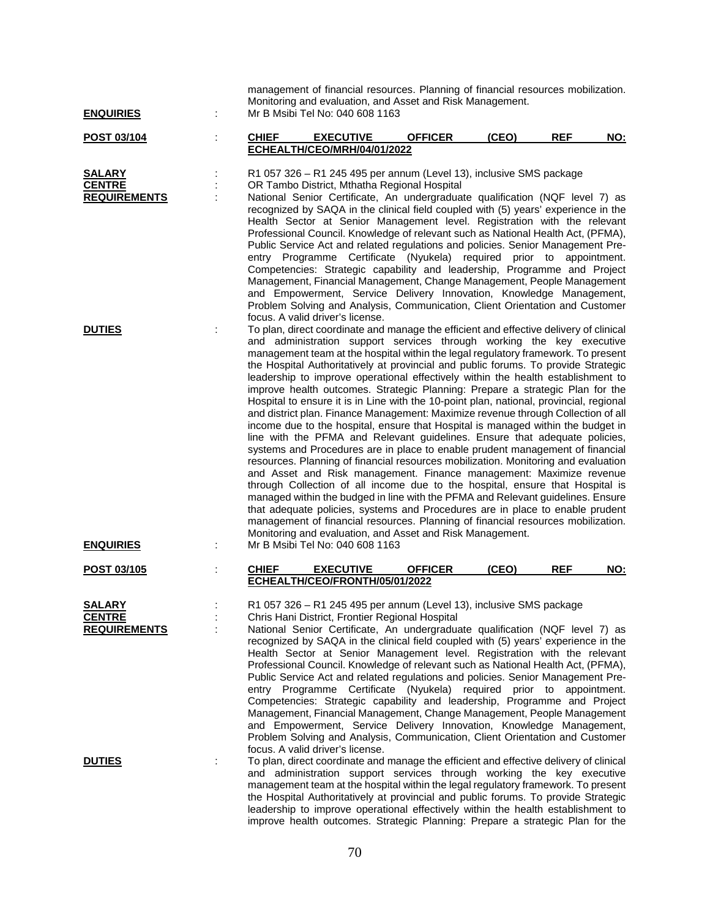| <b>ENQUIRIES</b>                                      |              | management of financial resources. Planning of financial resources mobilization.<br>Monitoring and evaluation, and Asset and Risk Management.<br>Mr B Msibi Tel No: 040 608 1163                                                                                                                                                                                                                                                                                                                                                                                                                                                                                                                                                                                                                                                                                                                                                                                                                                                                                                                                                                                                                                                                                                                                                                                                                                                                                                                                                                                                             |                |       |            |            |
|-------------------------------------------------------|--------------|----------------------------------------------------------------------------------------------------------------------------------------------------------------------------------------------------------------------------------------------------------------------------------------------------------------------------------------------------------------------------------------------------------------------------------------------------------------------------------------------------------------------------------------------------------------------------------------------------------------------------------------------------------------------------------------------------------------------------------------------------------------------------------------------------------------------------------------------------------------------------------------------------------------------------------------------------------------------------------------------------------------------------------------------------------------------------------------------------------------------------------------------------------------------------------------------------------------------------------------------------------------------------------------------------------------------------------------------------------------------------------------------------------------------------------------------------------------------------------------------------------------------------------------------------------------------------------------------|----------------|-------|------------|------------|
| POST 03/104                                           | <b>CHIEF</b> | <b>EXECUTIVE</b>                                                                                                                                                                                                                                                                                                                                                                                                                                                                                                                                                                                                                                                                                                                                                                                                                                                                                                                                                                                                                                                                                                                                                                                                                                                                                                                                                                                                                                                                                                                                                                             | <b>OFFICER</b> | (CEO) | <b>REF</b> | NO:        |
|                                                       |              | ECHEALTH/CEO/MRH/04/01/2022                                                                                                                                                                                                                                                                                                                                                                                                                                                                                                                                                                                                                                                                                                                                                                                                                                                                                                                                                                                                                                                                                                                                                                                                                                                                                                                                                                                                                                                                                                                                                                  |                |       |            |            |
| <b>SALARY</b><br><b>CENTRE</b><br><b>REQUIREMENTS</b> |              | R1 057 326 - R1 245 495 per annum (Level 13), inclusive SMS package<br>OR Tambo District, Mthatha Regional Hospital<br>National Senior Certificate, An undergraduate qualification (NQF level 7) as<br>recognized by SAQA in the clinical field coupled with (5) years' experience in the<br>Health Sector at Senior Management level. Registration with the relevant<br>Professional Council. Knowledge of relevant such as National Health Act, (PFMA),<br>Public Service Act and related regulations and policies. Senior Management Pre-<br>entry Programme Certificate (Nyukela) required prior to appointment.<br>Competencies: Strategic capability and leadership, Programme and Project<br>Management, Financial Management, Change Management, People Management<br>and Empowerment, Service Delivery Innovation, Knowledge Management,<br>Problem Solving and Analysis, Communication, Client Orientation and Customer                                                                                                                                                                                                                                                                                                                                                                                                                                                                                                                                                                                                                                                            |                |       |            |            |
| <b>DUTIES</b><br><b>ENQUIRIES</b>                     |              | focus. A valid driver's license.<br>To plan, direct coordinate and manage the efficient and effective delivery of clinical<br>and administration support services through working the key executive<br>management team at the hospital within the legal regulatory framework. To present<br>the Hospital Authoritatively at provincial and public forums. To provide Strategic<br>leadership to improve operational effectively within the health establishment to<br>improve health outcomes. Strategic Planning: Prepare a strategic Plan for the<br>Hospital to ensure it is in Line with the 10-point plan, national, provincial, regional<br>and district plan. Finance Management: Maximize revenue through Collection of all<br>income due to the hospital, ensure that Hospital is managed within the budget in<br>line with the PFMA and Relevant guidelines. Ensure that adequate policies,<br>systems and Procedures are in place to enable prudent management of financial<br>resources. Planning of financial resources mobilization. Monitoring and evaluation<br>and Asset and Risk management. Finance management: Maximize revenue<br>through Collection of all income due to the hospital, ensure that Hospital is<br>managed within the budged in line with the PFMA and Relevant guidelines. Ensure<br>that adequate policies, systems and Procedures are in place to enable prudent<br>management of financial resources. Planning of financial resources mobilization.<br>Monitoring and evaluation, and Asset and Risk Management.<br>Mr B Msibi Tel No: 040 608 1163 |                |       |            |            |
| POST 03/105                                           | <b>CHIEF</b> | <b>EXECUTIVE</b>                                                                                                                                                                                                                                                                                                                                                                                                                                                                                                                                                                                                                                                                                                                                                                                                                                                                                                                                                                                                                                                                                                                                                                                                                                                                                                                                                                                                                                                                                                                                                                             | <b>OFFICER</b> | (CEO) | <b>REF</b> | <b>NO:</b> |
|                                                       |              | ECHEALTH/CEO/FRONTH/05/01/2022                                                                                                                                                                                                                                                                                                                                                                                                                                                                                                                                                                                                                                                                                                                                                                                                                                                                                                                                                                                                                                                                                                                                                                                                                                                                                                                                                                                                                                                                                                                                                               |                |       |            |            |
| <b>SALARY</b><br><b>CENTRE</b><br><b>REQUIREMENTS</b> |              | R1 057 326 - R1 245 495 per annum (Level 13), inclusive SMS package<br>Chris Hani District, Frontier Regional Hospital<br>National Senior Certificate, An undergraduate qualification (NQF level 7) as<br>recognized by SAQA in the clinical field coupled with (5) years' experience in the<br>Health Sector at Senior Management level. Registration with the relevant<br>Professional Council. Knowledge of relevant such as National Health Act, (PFMA),<br>Public Service Act and related regulations and policies. Senior Management Pre-<br>entry Programme Certificate (Nyukela) required prior to appointment.<br>Competencies: Strategic capability and leadership, Programme and Project<br>Management, Financial Management, Change Management, People Management<br>and Empowerment, Service Delivery Innovation, Knowledge Management,<br>Problem Solving and Analysis, Communication, Client Orientation and Customer<br>focus. A valid driver's license.                                                                                                                                                                                                                                                                                                                                                                                                                                                                                                                                                                                                                     |                |       |            |            |
| <b>DUTIES</b>                                         |              | To plan, direct coordinate and manage the efficient and effective delivery of clinical<br>and administration support services through working the key executive<br>management team at the hospital within the legal regulatory framework. To present<br>the Hospital Authoritatively at provincial and public forums. To provide Strategic<br>leadership to improve operational effectively within the health establishment to<br>improve health outcomes. Strategic Planning: Prepare a strategic Plan for the                                                                                                                                                                                                                                                                                                                                                                                                                                                                                                                                                                                                                                                                                                                                                                                                                                                                                                                                                                                                                                                                              |                |       |            |            |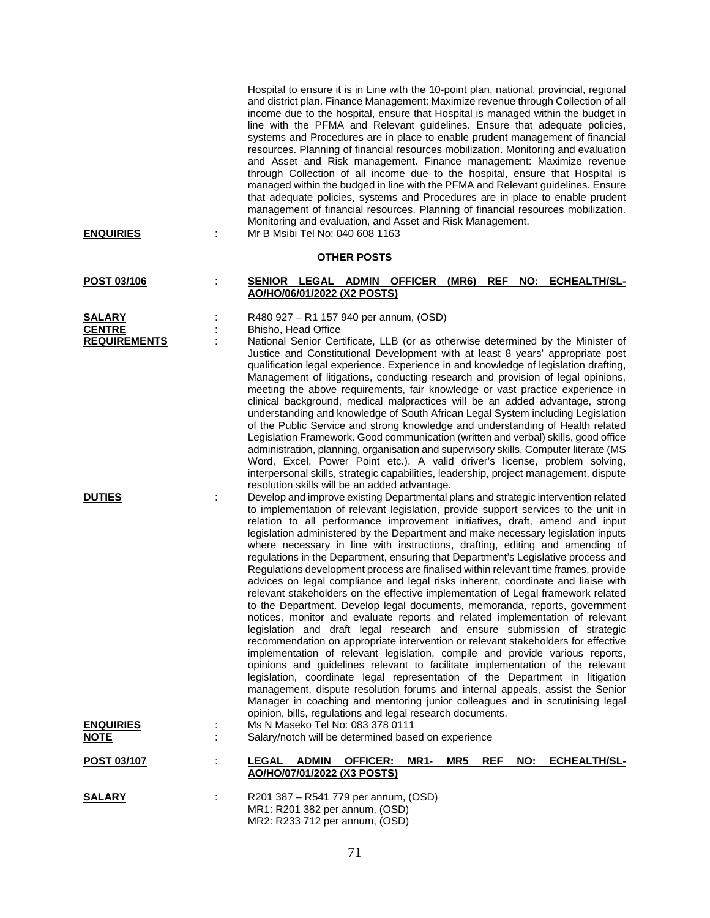| <b>ENQUIRIES</b>                     | Hospital to ensure it is in Line with the 10-point plan, national, provincial, regional<br>and district plan. Finance Management: Maximize revenue through Collection of all<br>income due to the hospital, ensure that Hospital is managed within the budget in<br>line with the PFMA and Relevant guidelines. Ensure that adequate policies,<br>systems and Procedures are in place to enable prudent management of financial<br>resources. Planning of financial resources mobilization. Monitoring and evaluation<br>and Asset and Risk management. Finance management: Maximize revenue<br>through Collection of all income due to the hospital, ensure that Hospital is<br>managed within the budged in line with the PFMA and Relevant guidelines. Ensure<br>that adequate policies, systems and Procedures are in place to enable prudent<br>management of financial resources. Planning of financial resources mobilization.<br>Monitoring and evaluation, and Asset and Risk Management.<br>Mr B Msibi Tel No: 040 608 1163                                                                                                                                                                                                                                                                                                                                                                                                                                                                                                                                                        |
|--------------------------------------|----------------------------------------------------------------------------------------------------------------------------------------------------------------------------------------------------------------------------------------------------------------------------------------------------------------------------------------------------------------------------------------------------------------------------------------------------------------------------------------------------------------------------------------------------------------------------------------------------------------------------------------------------------------------------------------------------------------------------------------------------------------------------------------------------------------------------------------------------------------------------------------------------------------------------------------------------------------------------------------------------------------------------------------------------------------------------------------------------------------------------------------------------------------------------------------------------------------------------------------------------------------------------------------------------------------------------------------------------------------------------------------------------------------------------------------------------------------------------------------------------------------------------------------------------------------------------------------------|
|                                      | <b>OTHER POSTS</b>                                                                                                                                                                                                                                                                                                                                                                                                                                                                                                                                                                                                                                                                                                                                                                                                                                                                                                                                                                                                                                                                                                                                                                                                                                                                                                                                                                                                                                                                                                                                                                           |
| POST 03/106                          | SENIOR LEGAL ADMIN OFFICER (MR6)<br><b>REF</b><br>NO: ECHEALTH/SL-<br>AO/HO/06/01/2022 (X2 POSTS)                                                                                                                                                                                                                                                                                                                                                                                                                                                                                                                                                                                                                                                                                                                                                                                                                                                                                                                                                                                                                                                                                                                                                                                                                                                                                                                                                                                                                                                                                            |
| <b>SALARY</b>                        | R480 927 – R1 157 940 per annum, (OSD)                                                                                                                                                                                                                                                                                                                                                                                                                                                                                                                                                                                                                                                                                                                                                                                                                                                                                                                                                                                                                                                                                                                                                                                                                                                                                                                                                                                                                                                                                                                                                       |
| <b>CENTRE</b><br><b>REQUIREMENTS</b> | Bhisho, Head Office<br>National Senior Certificate, LLB (or as otherwise determined by the Minister of<br>Justice and Constitutional Development with at least 8 years' appropriate post<br>qualification legal experience. Experience in and knowledge of legislation drafting,<br>Management of litigations, conducting research and provision of legal opinions,<br>meeting the above requirements, fair knowledge or vast practice experience in<br>clinical background, medical malpractices will be an added advantage, strong<br>understanding and knowledge of South African Legal System including Legislation<br>of the Public Service and strong knowledge and understanding of Health related<br>Legislation Framework. Good communication (written and verbal) skills, good office<br>administration, planning, organisation and supervisory skills, Computer literate (MS<br>Word, Excel, Power Point etc.). A valid driver's license, problem solving,<br>interpersonal skills, strategic capabilities, leadership, project management, dispute<br>resolution skills will be an added advantage.                                                                                                                                                                                                                                                                                                                                                                                                                                                                              |
| <b>DUTIES</b>                        | Develop and improve existing Departmental plans and strategic intervention related<br>to implementation of relevant legislation, provide support services to the unit in<br>relation to all performance improvement initiatives, draft, amend and input<br>legislation administered by the Department and make necessary legislation inputs<br>where necessary in line with instructions, drafting, editing and amending of<br>regulations in the Department, ensuring that Department's Legislative process and<br>Regulations development process are finalised within relevant time frames, provide<br>advices on legal compliance and legal risks inherent, coordinate and liaise with<br>relevant stakeholders on the effective implementation of Legal framework related<br>to the Department. Develop legal documents, memoranda, reports, government<br>notices, monitor and evaluate reports and related implementation of relevant<br>legislation and draft legal research and ensure submission of strategic<br>recommendation on appropriate intervention or relevant stakeholders for effective<br>implementation of relevant legislation, compile and provide various reports,<br>opinions and guidelines relevant to facilitate implementation of the relevant<br>legislation, coordinate legal representation of the Department in litigation<br>management, dispute resolution forums and internal appeals, assist the Senior<br>Manager in coaching and mentoring junior colleagues and in scrutinising legal<br>opinion, bills, regulations and legal research documents. |
| <b>ENQUIRIES</b><br><b>NOTE</b>      | Ms N Maseko Tel No: 083 378 0111<br>Salary/notch will be determined based on experience                                                                                                                                                                                                                                                                                                                                                                                                                                                                                                                                                                                                                                                                                                                                                                                                                                                                                                                                                                                                                                                                                                                                                                                                                                                                                                                                                                                                                                                                                                      |
| POST 03/107                          | <b>LEGAL</b><br><b>ADMIN</b><br><b>OFFICER:</b><br><b>MR1-</b><br>MR5<br><b>REF</b><br>NO:<br><u>ECHEALTH/SL-</u><br>AO/HO/07/01/2022 (X3 POSTS)                                                                                                                                                                                                                                                                                                                                                                                                                                                                                                                                                                                                                                                                                                                                                                                                                                                                                                                                                                                                                                                                                                                                                                                                                                                                                                                                                                                                                                             |
| <b>SALARY</b>                        | R201 387 - R541 779 per annum, (OSD)<br>MR1: R201 382 per annum, (OSD)<br>MR2: R233 712 per annum, (OSD)                                                                                                                                                                                                                                                                                                                                                                                                                                                                                                                                                                                                                                                                                                                                                                                                                                                                                                                                                                                                                                                                                                                                                                                                                                                                                                                                                                                                                                                                                     |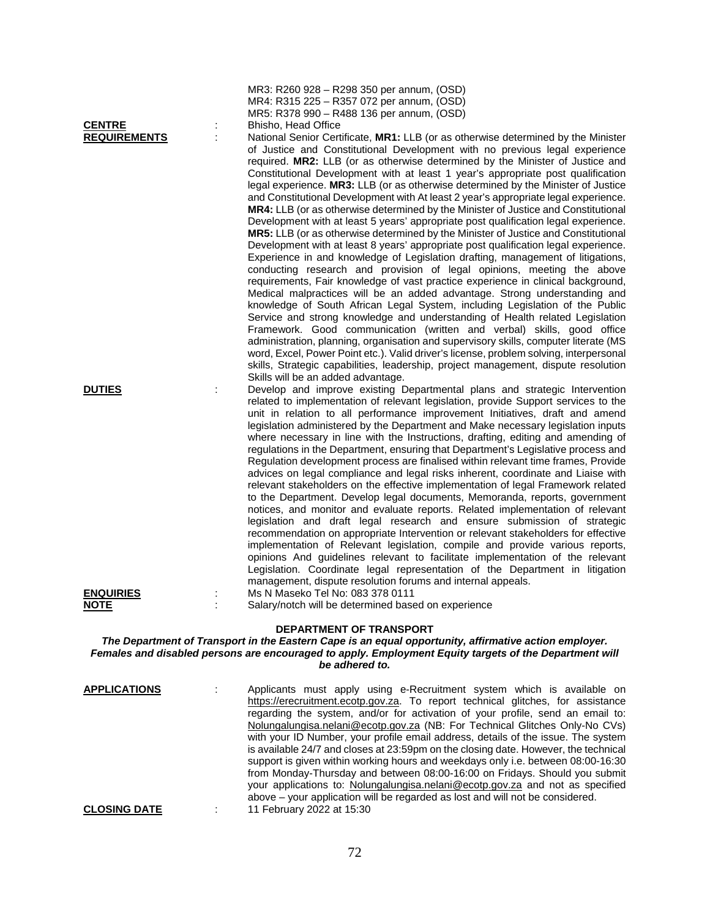| <b>DEPARTMENT OF TRANSPORT</b><br>The Department of Transport in the Eastern Cape is an equal opportunity, affirmative action employer.<br>Females and disabled persons are encouraged to apply. Employment Equity targets of the Department will<br>be adhered to. |   |                                                                                                                                                                                                                                                                                                                                                                                                                                                                                                                                                                                                                                                                                                                                                                                                                                                                                                                                                                                                                                                                                                                                                                                                                                                                                                                                                                                                                                                                                                                                                                                                                                                                                                                                                                                                                                                 |  |  |
|---------------------------------------------------------------------------------------------------------------------------------------------------------------------------------------------------------------------------------------------------------------------|---|-------------------------------------------------------------------------------------------------------------------------------------------------------------------------------------------------------------------------------------------------------------------------------------------------------------------------------------------------------------------------------------------------------------------------------------------------------------------------------------------------------------------------------------------------------------------------------------------------------------------------------------------------------------------------------------------------------------------------------------------------------------------------------------------------------------------------------------------------------------------------------------------------------------------------------------------------------------------------------------------------------------------------------------------------------------------------------------------------------------------------------------------------------------------------------------------------------------------------------------------------------------------------------------------------------------------------------------------------------------------------------------------------------------------------------------------------------------------------------------------------------------------------------------------------------------------------------------------------------------------------------------------------------------------------------------------------------------------------------------------------------------------------------------------------------------------------------------------------|--|--|
| <b>DUTIES</b><br><u>ENQUIRIES</u><br><b>NOTE</b>                                                                                                                                                                                                                    | ÷ | related to implementation of relevant legislation, provide Support services to the<br>unit in relation to all performance improvement Initiatives, draft and amend<br>legislation administered by the Department and Make necessary legislation inputs<br>where necessary in line with the Instructions, drafting, editing and amending of<br>regulations in the Department, ensuring that Department's Legislative process and<br>Regulation development process are finalised within relevant time frames, Provide<br>advices on legal compliance and legal risks inherent, coordinate and Liaise with<br>relevant stakeholders on the effective implementation of legal Framework related<br>to the Department. Develop legal documents, Memoranda, reports, government<br>notices, and monitor and evaluate reports. Related implementation of relevant<br>legislation and draft legal research and ensure submission of strategic<br>recommendation on appropriate Intervention or relevant stakeholders for effective<br>implementation of Relevant legislation, compile and provide various reports,<br>opinions And guidelines relevant to facilitate implementation of the relevant<br>Legislation. Coordinate legal representation of the Department in litigation<br>management, dispute resolution forums and internal appeals.<br>Ms N Maseko Tel No: 083 378 0111<br>Salary/notch will be determined based on experience                                                                                                                                                                                                                                                                                                                                                                                                          |  |  |
| <b>REQUIREMENTS</b>                                                                                                                                                                                                                                                 | ÷ | National Senior Certificate, MR1: LLB (or as otherwise determined by the Minister<br>of Justice and Constitutional Development with no previous legal experience<br>required. MR2: LLB (or as otherwise determined by the Minister of Justice and<br>Constitutional Development with at least 1 year's appropriate post qualification<br>legal experience. MR3: LLB (or as otherwise determined by the Minister of Justice<br>and Constitutional Development with At least 2 year's appropriate legal experience.<br>MR4: LLB (or as otherwise determined by the Minister of Justice and Constitutional<br>Development with at least 5 years' appropriate post qualification legal experience.<br>MR5: LLB (or as otherwise determined by the Minister of Justice and Constitutional<br>Development with at least 8 years' appropriate post qualification legal experience.<br>Experience in and knowledge of Legislation drafting, management of litigations,<br>conducting research and provision of legal opinions, meeting the above<br>requirements, Fair knowledge of vast practice experience in clinical background,<br>Medical malpractices will be an added advantage. Strong understanding and<br>knowledge of South African Legal System, including Legislation of the Public<br>Service and strong knowledge and understanding of Health related Legislation<br>Framework. Good communication (written and verbal) skills, good office<br>administration, planning, organisation and supervisory skills, computer literate (MS<br>word, Excel, Power Point etc.). Valid driver's license, problem solving, interpersonal<br>skills, Strategic capabilities, leadership, project management, dispute resolution<br>Skills will be an added advantage.<br>Develop and improve existing Departmental plans and strategic Intervention |  |  |
| <b>CENTRE</b>                                                                                                                                                                                                                                                       |   | MR3: R260 928 - R298 350 per annum, (OSD)<br>MR4: R315 225 - R357 072 per annum, (OSD)<br>MR5: R378 990 - R488 136 per annum, (OSD)<br>Bhisho, Head Office                                                                                                                                                                                                                                                                                                                                                                                                                                                                                                                                                                                                                                                                                                                                                                                                                                                                                                                                                                                                                                                                                                                                                                                                                                                                                                                                                                                                                                                                                                                                                                                                                                                                                      |  |  |

| <b>APPLICATIONS</b> | Applicants must apply using e-Recruitment system which is available on              |
|---------------------|-------------------------------------------------------------------------------------|
|                     | https://erecruitment.ecotp.gov.za. To report technical glitches, for assistance     |
|                     | regarding the system, and/or for activation of your profile, send an email to:      |
|                     | Nolungalungisa.nelani@ecotp.gov.za (NB: For Technical Glitches Only-No CVs)         |
|                     | with your ID Number, your profile email address, details of the issue. The system   |
|                     | is available 24/7 and closes at 23:59pm on the closing date. However, the technical |
|                     | support is given within working hours and weekdays only i.e. between 08:00-16:30    |
|                     | from Monday-Thursday and between 08:00-16:00 on Fridays. Should you submit          |
|                     | your applications to: Nolungalungisa.nelani@ecotp.gov.za and not as specified       |
|                     | above – your application will be regarded as lost and will not be considered.       |
| <b>CLOSING DATE</b> | 11 February 2022 at 15:30                                                           |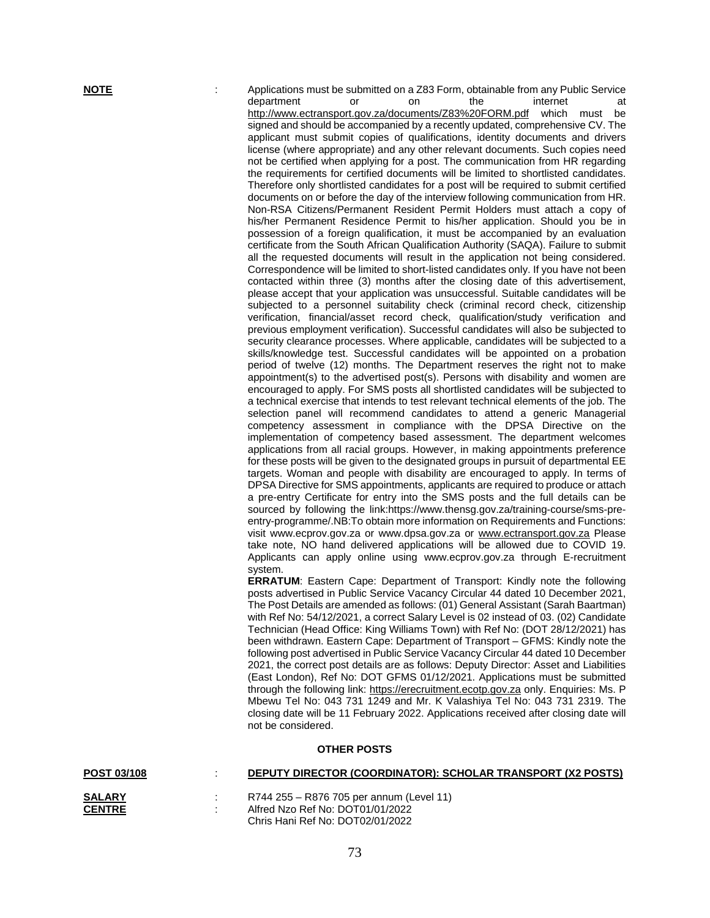**NOTE** : Applications must be submitted on a Z83 Form, obtainable from any Public Service<br>department or on the internet at department or on the internet at <http://www.ectransport.gov.za/documents/Z83%20FORM.pdf> which must be signed and should be accompanied by a recently updated, comprehensive CV. The applicant must submit copies of qualifications, identity documents and drivers license (where appropriate) and any other relevant documents. Such copies need not be certified when applying for a post. The communication from HR regarding the requirements for certified documents will be limited to shortlisted candidates. Therefore only shortlisted candidates for a post will be required to submit certified documents on or before the day of the interview following communication from HR. Non-RSA Citizens/Permanent Resident Permit Holders must attach a copy of his/her Permanent Residence Permit to his/her application. Should you be in possession of a foreign qualification, it must be accompanied by an evaluation certificate from the South African Qualification Authority (SAQA). Failure to submit all the requested documents will result in the application not being considered. Correspondence will be limited to short-listed candidates only. If you have not been contacted within three (3) months after the closing date of this advertisement, please accept that your application was unsuccessful. Suitable candidates will be subjected to a personnel suitability check (criminal record check, citizenship verification, financial/asset record check, qualification/study verification and previous employment verification). Successful candidates will also be subjected to security clearance processes. Where applicable, candidates will be subjected to a skills/knowledge test. Successful candidates will be appointed on a probation period of twelve (12) months. The Department reserves the right not to make appointment(s) to the advertised post(s). Persons with disability and women are encouraged to apply. For SMS posts all shortlisted candidates will be subjected to a technical exercise that intends to test relevant technical elements of the job. The selection panel will recommend candidates to attend a generic Managerial competency assessment in compliance with the DPSA Directive on the implementation of competency based assessment. The department welcomes applications from all racial groups. However, in making appointments preference for these posts will be given to the designated groups in pursuit of departmental EE targets. Woman and people with disability are encouraged to apply. In terms of DPSA Directive for SMS appointments, applicants are required to produce or attach a pre-entry Certificate for entry into the SMS posts and the full details can be sourced by following the link:https://www.thensg.gov.za/training-course/sms-preentry-programme/.NB:To obtain more information on Requirements and Functions: visit www.ecprov.gov.za or www.dpsa.gov.za or [www.ectransport.gov.za](http://www.ectransport.gov.za/) Please take note, NO hand delivered applications will be allowed due to COVID 19. Applicants can apply online using www.ecprov.gov.za through E-recruitment system.

**ERRATUM**: Eastern Cape: Department of Transport: Kindly note the following posts advertised in Public Service Vacancy Circular 44 dated 10 December 2021, The Post Details are amended as follows: (01) General Assistant (Sarah Baartman) with Ref No: 54/12/2021, a correct Salary Level is 02 instead of 03. (02) Candidate Technician (Head Office: King Williams Town) with Ref No: (DOT 28/12/2021) has been withdrawn. Eastern Cape: Department of Transport – GFMS: Kindly note the following post advertised in Public Service Vacancy Circular 44 dated 10 December 2021, the correct post details are as follows: Deputy Director: Asset and Liabilities (East London), Ref No: DOT GFMS 01/12/2021. Applications must be submitted through the following link: [https://erecruitment.ecotp.gov.za](https://erecruitment.ecotp.gov.za/) only. Enquiries: Ms. P Mbewu Tel No: 043 731 1249 and Mr. K Valashiya Tel No: 043 731 2319. The closing date will be 11 February 2022. Applications received after closing date will not be considered.

## **OTHER POSTS**

| <b>POST 03/108</b> | DEPUTY DIRECTOR (COORDINATOR): SCHOLAR TRANSPORT (X2 POSTS) |
|--------------------|-------------------------------------------------------------|
|                    |                                                             |
| <b>SALARY</b>      | R744 255 – R876 705 per annum (Level 11)                    |
| <b>CENTRE</b>      | Alfred Nzo Ref No: DOT01/01/2022                            |
|                    | Chris Hani Ref No: DOT02/01/2022                            |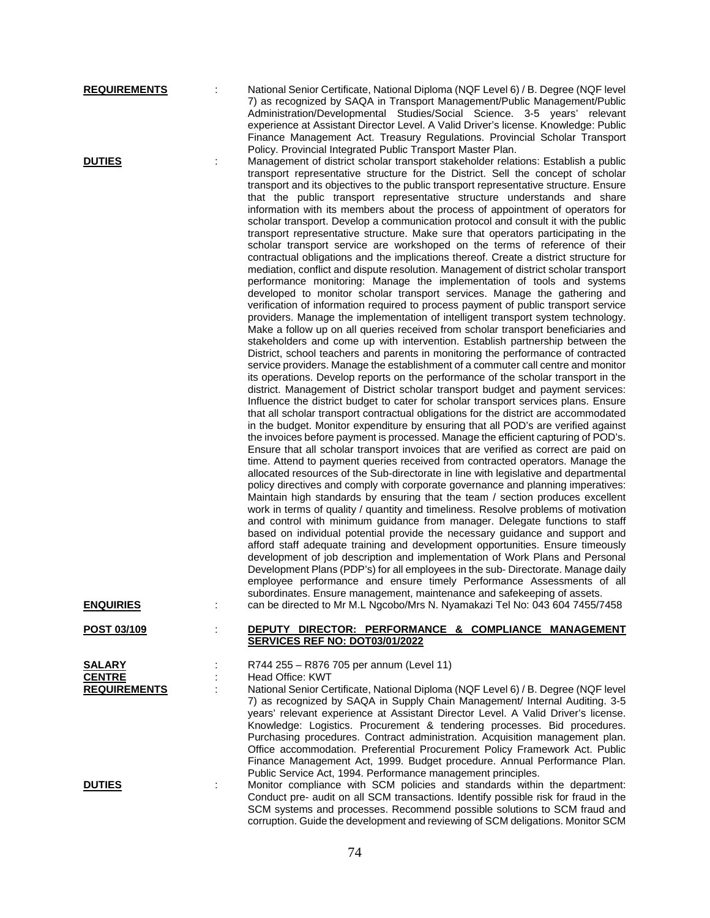| <b>REQUIREMENTS</b><br><b>DUTIES</b>                  | National Senior Certificate, National Diploma (NQF Level 6) / B. Degree (NQF level<br>7) as recognized by SAQA in Transport Management/Public Management/Public<br>Administration/Developmental Studies/Social Science. 3-5 years' relevant<br>experience at Assistant Director Level. A Valid Driver's license. Knowledge: Public<br>Finance Management Act. Treasury Regulations. Provincial Scholar Transport<br>Policy. Provincial Integrated Public Transport Master Plan.<br>Management of district scholar transport stakeholder relations: Establish a public                                                                                                                                                                                                                                                                                                                                                                                                                                                                                                                                                                                                                                                                                                                                                                                                                                                                                                                                                                                                                                                                                                                                                                                                                                                                                                                                                                                                                                                                                                                                                                                                                                                                                                                                                                                                                                                                                                                                                                                                                                                                                                                                                                                                                                                                                                                                                                                                                                                                                                                                           |
|-------------------------------------------------------|-----------------------------------------------------------------------------------------------------------------------------------------------------------------------------------------------------------------------------------------------------------------------------------------------------------------------------------------------------------------------------------------------------------------------------------------------------------------------------------------------------------------------------------------------------------------------------------------------------------------------------------------------------------------------------------------------------------------------------------------------------------------------------------------------------------------------------------------------------------------------------------------------------------------------------------------------------------------------------------------------------------------------------------------------------------------------------------------------------------------------------------------------------------------------------------------------------------------------------------------------------------------------------------------------------------------------------------------------------------------------------------------------------------------------------------------------------------------------------------------------------------------------------------------------------------------------------------------------------------------------------------------------------------------------------------------------------------------------------------------------------------------------------------------------------------------------------------------------------------------------------------------------------------------------------------------------------------------------------------------------------------------------------------------------------------------------------------------------------------------------------------------------------------------------------------------------------------------------------------------------------------------------------------------------------------------------------------------------------------------------------------------------------------------------------------------------------------------------------------------------------------------------------------------------------------------------------------------------------------------------------------------------------------------------------------------------------------------------------------------------------------------------------------------------------------------------------------------------------------------------------------------------------------------------------------------------------------------------------------------------------------------------------------------------------------------------------------------------------------------|
|                                                       | transport representative structure for the District. Sell the concept of scholar<br>transport and its objectives to the public transport representative structure. Ensure<br>that the public transport representative structure understands and share<br>information with its members about the process of appointment of operators for<br>scholar transport. Develop a communication protocol and consult it with the public<br>transport representative structure. Make sure that operators participating in the<br>scholar transport service are workshoped on the terms of reference of their<br>contractual obligations and the implications thereof. Create a district structure for<br>mediation, conflict and dispute resolution. Management of district scholar transport<br>performance monitoring: Manage the implementation of tools and systems<br>developed to monitor scholar transport services. Manage the gathering and<br>verification of information required to process payment of public transport service<br>providers. Manage the implementation of intelligent transport system technology.<br>Make a follow up on all queries received from scholar transport beneficiaries and<br>stakeholders and come up with intervention. Establish partnership between the<br>District, school teachers and parents in monitoring the performance of contracted<br>service providers. Manage the establishment of a commuter call centre and monitor<br>its operations. Develop reports on the performance of the scholar transport in the<br>district. Management of District scholar transport budget and payment services:<br>Influence the district budget to cater for scholar transport services plans. Ensure<br>that all scholar transport contractual obligations for the district are accommodated<br>in the budget. Monitor expenditure by ensuring that all POD's are verified against<br>the invoices before payment is processed. Manage the efficient capturing of POD's.<br>Ensure that all scholar transport invoices that are verified as correct are paid on<br>time. Attend to payment queries received from contracted operators. Manage the<br>allocated resources of the Sub-directorate in line with legislative and departmental<br>policy directives and comply with corporate governance and planning imperatives:<br>Maintain high standards by ensuring that the team / section produces excellent<br>work in terms of quality / quantity and timeliness. Resolve problems of motivation<br>and control with minimum guidance from manager. Delegate functions to staff<br>based on individual potential provide the necessary guidance and support and<br>afford staff adequate training and development opportunities. Ensure timeously<br>development of job description and implementation of Work Plans and Personal<br>Development Plans (PDP's) for all employees in the sub- Directorate. Manage daily<br>employee performance and ensure timely Performance Assessments of all<br>subordinates. Ensure management, maintenance and safekeeping of assets. |
| <b>ENQUIRIES</b>                                      | can be directed to Mr M.L Ngcobo/Mrs N. Nyamakazi Tel No: 043 604 7455/7458                                                                                                                                                                                                                                                                                                                                                                                                                                                                                                                                                                                                                                                                                                                                                                                                                                                                                                                                                                                                                                                                                                                                                                                                                                                                                                                                                                                                                                                                                                                                                                                                                                                                                                                                                                                                                                                                                                                                                                                                                                                                                                                                                                                                                                                                                                                                                                                                                                                                                                                                                                                                                                                                                                                                                                                                                                                                                                                                                                                                                                     |
| POST 03/109                                           | DEPUTY DIRECTOR: PERFORMANCE & COMPLIANCE MANAGEMENT<br>SERVICES REF NO: DOT03/01/2022                                                                                                                                                                                                                                                                                                                                                                                                                                                                                                                                                                                                                                                                                                                                                                                                                                                                                                                                                                                                                                                                                                                                                                                                                                                                                                                                                                                                                                                                                                                                                                                                                                                                                                                                                                                                                                                                                                                                                                                                                                                                                                                                                                                                                                                                                                                                                                                                                                                                                                                                                                                                                                                                                                                                                                                                                                                                                                                                                                                                                          |
| <b>SALARY</b><br><b>CENTRE</b><br><b>REQUIREMENTS</b> | R744 255 - R876 705 per annum (Level 11)<br>Head Office: KWT<br>National Senior Certificate, National Diploma (NQF Level 6) / B. Degree (NQF level<br>7) as recognized by SAQA in Supply Chain Management/ Internal Auditing. 3-5<br>years' relevant experience at Assistant Director Level. A Valid Driver's license.<br>Knowledge: Logistics. Procurement & tendering processes. Bid procedures.                                                                                                                                                                                                                                                                                                                                                                                                                                                                                                                                                                                                                                                                                                                                                                                                                                                                                                                                                                                                                                                                                                                                                                                                                                                                                                                                                                                                                                                                                                                                                                                                                                                                                                                                                                                                                                                                                                                                                                                                                                                                                                                                                                                                                                                                                                                                                                                                                                                                                                                                                                                                                                                                                                              |
| <b>DUTIES</b>                                         | Purchasing procedures. Contract administration. Acquisition management plan.<br>Office accommodation. Preferential Procurement Policy Framework Act. Public<br>Finance Management Act, 1999. Budget procedure. Annual Performance Plan.<br>Public Service Act, 1994. Performance management principles.<br>Monitor compliance with SCM policies and standards within the department:<br>Conduct pre- audit on all SCM transactions. Identify possible risk for fraud in the<br>SCM systems and processes. Recommend possible solutions to SCM fraud and                                                                                                                                                                                                                                                                                                                                                                                                                                                                                                                                                                                                                                                                                                                                                                                                                                                                                                                                                                                                                                                                                                                                                                                                                                                                                                                                                                                                                                                                                                                                                                                                                                                                                                                                                                                                                                                                                                                                                                                                                                                                                                                                                                                                                                                                                                                                                                                                                                                                                                                                                         |

corruption. Guide the development and reviewing of SCM deligations. Monitor SCM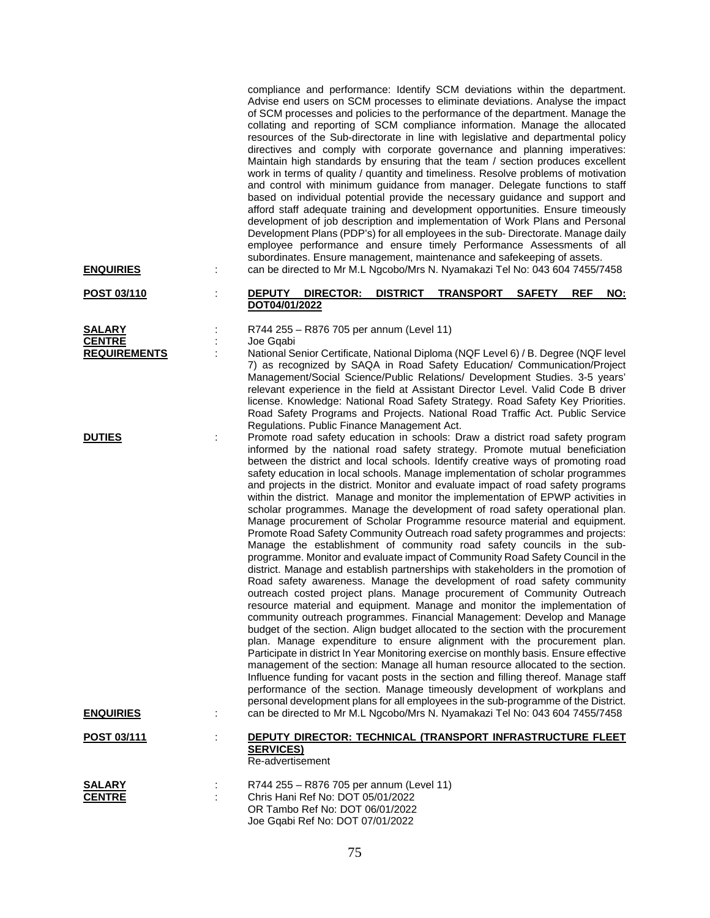compliance and performance: Identify SCM deviations within the department. Advise end users on SCM processes to eliminate deviations. Analyse the impact of SCM processes and policies to the performance of the department. Manage the collating and reporting of SCM compliance information. Manage the allocated resources of the Sub-directorate in line with legislative and departmental policy directives and comply with corporate governance and planning imperatives: Maintain high standards by ensuring that the team / section produces excellent work in terms of quality / quantity and timeliness. Resolve problems of motivation and control with minimum guidance from manager. Delegate functions to staff based on individual potential provide the necessary guidance and support and afford staff adequate training and development opportunities. Ensure timeously development of job description and implementation of Work Plans and Personal Development Plans (PDP's) for all employees in the sub- Directorate. Manage daily employee performance and ensure timely Performance Assessments of all subordinates. Ensure management, maintenance and safekeeping of assets. **ENQUIRIES** : can be directed to Mr M.L Ngcobo/Mrs N. Nyamakazi Tel No: 043 604 7455/7458

### **POST 03/110** : **DEPUTY DIRECTOR: DISTRICT TRANSPORT SAFETY REF NO: DOT04/01/2022**

**SALARY** : R744 255 – R876 705 per annum (Level 11)<br>**CENTRE** : Joe Gqabi Joe Gqabi

**REQUIREMENTS** : National Senior Certificate, National Diploma (NQF Level 6) / B. Degree (NQF level 7) as recognized by SAQA in Road Safety Education/ Communication/Project Management/Social Science/Public Relations/ Development Studies. 3-5 years' relevant experience in the field at Assistant Director Level. Valid Code B driver license. Knowledge: National Road Safety Strategy. Road Safety Key Priorities. Road Safety Programs and Projects. National Road Traffic Act. Public Service Regulations. Public Finance Management Act.

**DUTIES** : Promote road safety education in schools: Draw a district road safety program informed by the national road safety strategy. Promote mutual beneficiation between the district and local schools. Identify creative ways of promoting road safety education in local schools. Manage implementation of scholar programmes and projects in the district. Monitor and evaluate impact of road safety programs within the district. Manage and monitor the implementation of EPWP activities in scholar programmes. Manage the development of road safety operational plan. Manage procurement of Scholar Programme resource material and equipment. Promote Road Safety Community Outreach road safety programmes and projects: Manage the establishment of community road safety councils in the subprogramme. Monitor and evaluate impact of Community Road Safety Council in the district. Manage and establish partnerships with stakeholders in the promotion of Road safety awareness. Manage the development of road safety community outreach costed project plans. Manage procurement of Community Outreach resource material and equipment. Manage and monitor the implementation of community outreach programmes. Financial Management: Develop and Manage budget of the section. Align budget allocated to the section with the procurement plan. Manage expenditure to ensure alignment with the procurement plan. Participate in district In Year Monitoring exercise on monthly basis. Ensure effective management of the section: Manage all human resource allocated to the section. Influence funding for vacant posts in the section and filling thereof. Manage staff performance of the section. Manage timeously development of workplans and personal development plans for all employees in the sub-programme of the District. **ENQUIRIES** : can be directed to Mr M.L Ngcobo/Mrs N. Nyamakazi Tel No: 043 604 7455/7458

### **POST 03/111** : **DEPUTY DIRECTOR: TECHNICAL (TRANSPORT INFRASTRUCTURE FLEET SERVICES)** Re-advertisement

| <b>SALARY</b> | R744 255 – R876 705 per annum (Level 11) |
|---------------|------------------------------------------|
| <b>CENTRE</b> | Chris Hani Ref No: DOT 05/01/2022        |
|               | OR Tambo Ref No: DOT 06/01/2022          |
|               | Joe Ggabi Ref No: DOT 07/01/2022         |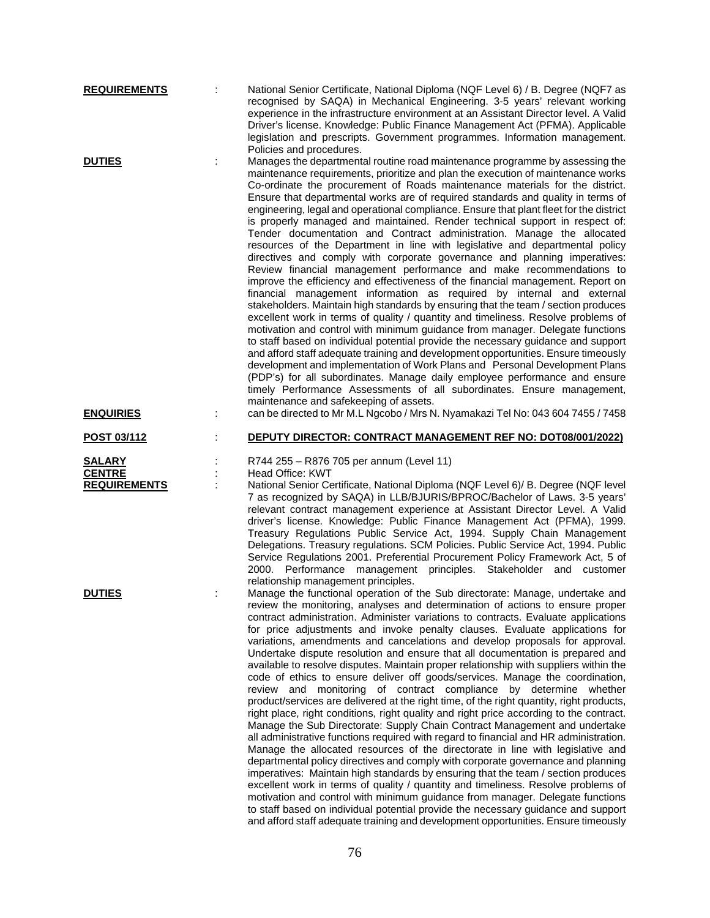| <b>REQUIREMENTS</b>                                   | National Senior Certificate, National Diploma (NQF Level 6) / B. Degree (NQF7 as<br>recognised by SAQA) in Mechanical Engineering. 3-5 years' relevant working<br>experience in the infrastructure environment at an Assistant Director level. A Valid<br>Driver's license. Knowledge: Public Finance Management Act (PFMA). Applicable<br>legislation and prescripts. Government programmes. Information management.<br>Policies and procedures.                                                                                                                                                                                                                                                                                                                                                                                                                                                                                                                                                                                                                                                                                                                                                                                                                                                                                                                                                                                                                                                                                                                                                                                                                                                                                |
|-------------------------------------------------------|----------------------------------------------------------------------------------------------------------------------------------------------------------------------------------------------------------------------------------------------------------------------------------------------------------------------------------------------------------------------------------------------------------------------------------------------------------------------------------------------------------------------------------------------------------------------------------------------------------------------------------------------------------------------------------------------------------------------------------------------------------------------------------------------------------------------------------------------------------------------------------------------------------------------------------------------------------------------------------------------------------------------------------------------------------------------------------------------------------------------------------------------------------------------------------------------------------------------------------------------------------------------------------------------------------------------------------------------------------------------------------------------------------------------------------------------------------------------------------------------------------------------------------------------------------------------------------------------------------------------------------------------------------------------------------------------------------------------------------|
| <b>DUTIES</b>                                         | Manages the departmental routine road maintenance programme by assessing the<br>maintenance requirements, prioritize and plan the execution of maintenance works<br>Co-ordinate the procurement of Roads maintenance materials for the district.<br>Ensure that departmental works are of required standards and quality in terms of<br>engineering, legal and operational compliance. Ensure that plant fleet for the district<br>is properly managed and maintained. Render technical support in respect of:<br>Tender documentation and Contract administration. Manage the allocated<br>resources of the Department in line with legislative and departmental policy<br>directives and comply with corporate governance and planning imperatives:<br>Review financial management performance and make recommendations to<br>improve the efficiency and effectiveness of the financial management. Report on<br>financial management information as required by internal and external<br>stakeholders. Maintain high standards by ensuring that the team / section produces<br>excellent work in terms of quality / quantity and timeliness. Resolve problems of<br>motivation and control with minimum guidance from manager. Delegate functions<br>to staff based on individual potential provide the necessary guidance and support<br>and afford staff adequate training and development opportunities. Ensure timeously<br>development and implementation of Work Plans and Personal Development Plans<br>(PDP's) for all subordinates. Manage daily employee performance and ensure<br>timely Performance Assessments of all subordinates. Ensure management,<br>maintenance and safekeeping of assets.                 |
| <b>ENQUIRIES</b>                                      | can be directed to Mr M.L Ngcobo / Mrs N. Nyamakazi Tel No: 043 604 7455 / 7458                                                                                                                                                                                                                                                                                                                                                                                                                                                                                                                                                                                                                                                                                                                                                                                                                                                                                                                                                                                                                                                                                                                                                                                                                                                                                                                                                                                                                                                                                                                                                                                                                                                  |
| <u>POST 03/112</u>                                    | <b>DEPUTY DIRECTOR: CONTRACT MANAGEMENT REF NO: DOT08/001/2022)</b>                                                                                                                                                                                                                                                                                                                                                                                                                                                                                                                                                                                                                                                                                                                                                                                                                                                                                                                                                                                                                                                                                                                                                                                                                                                                                                                                                                                                                                                                                                                                                                                                                                                              |
| <b>SALARY</b><br><b>CENTRE</b><br><b>REQUIREMENTS</b> | R744 255 - R876 705 per annum (Level 11)<br>Head Office: KWT<br>National Senior Certificate, National Diploma (NQF Level 6)/ B. Degree (NQF level<br>7 as recognized by SAQA) in LLB/BJURIS/BPROC/Bachelor of Laws. 3-5 years'<br>relevant contract management experience at Assistant Director Level. A Valid<br>driver's license. Knowledge: Public Finance Management Act (PFMA), 1999.<br>Treasury Regulations Public Service Act, 1994. Supply Chain Management<br>Delegations. Treasury regulations. SCM Policies. Public Service Act, 1994. Public<br>Service Regulations 2001. Preferential Procurement Policy Framework Act, 5 of<br>2000. Performance management principles. Stakeholder and customer<br>relationship management principles.                                                                                                                                                                                                                                                                                                                                                                                                                                                                                                                                                                                                                                                                                                                                                                                                                                                                                                                                                                           |
| <b>DUTIES</b>                                         | Manage the functional operation of the Sub directorate: Manage, undertake and<br>review the monitoring, analyses and determination of actions to ensure proper<br>contract administration. Administer variations to contracts. Evaluate applications<br>for price adjustments and invoke penalty clauses. Evaluate applications for<br>variations, amendments and cancelations and develop proposals for approval.<br>Undertake dispute resolution and ensure that all documentation is prepared and<br>available to resolve disputes. Maintain proper relationship with suppliers within the<br>code of ethics to ensure deliver off goods/services. Manage the coordination,<br>review and monitoring of contract compliance by determine<br>whether<br>product/services are delivered at the right time, of the right quantity, right products,<br>right place, right conditions, right quality and right price according to the contract.<br>Manage the Sub Directorate: Supply Chain Contract Management and undertake<br>all administrative functions required with regard to financial and HR administration.<br>Manage the allocated resources of the directorate in line with legislative and<br>departmental policy directives and comply with corporate governance and planning<br>imperatives: Maintain high standards by ensuring that the team / section produces<br>excellent work in terms of quality / quantity and timeliness. Resolve problems of<br>motivation and control with minimum guidance from manager. Delegate functions<br>to staff based on individual potential provide the necessary guidance and support<br>and afford staff adequate training and development opportunities. Ensure timeously |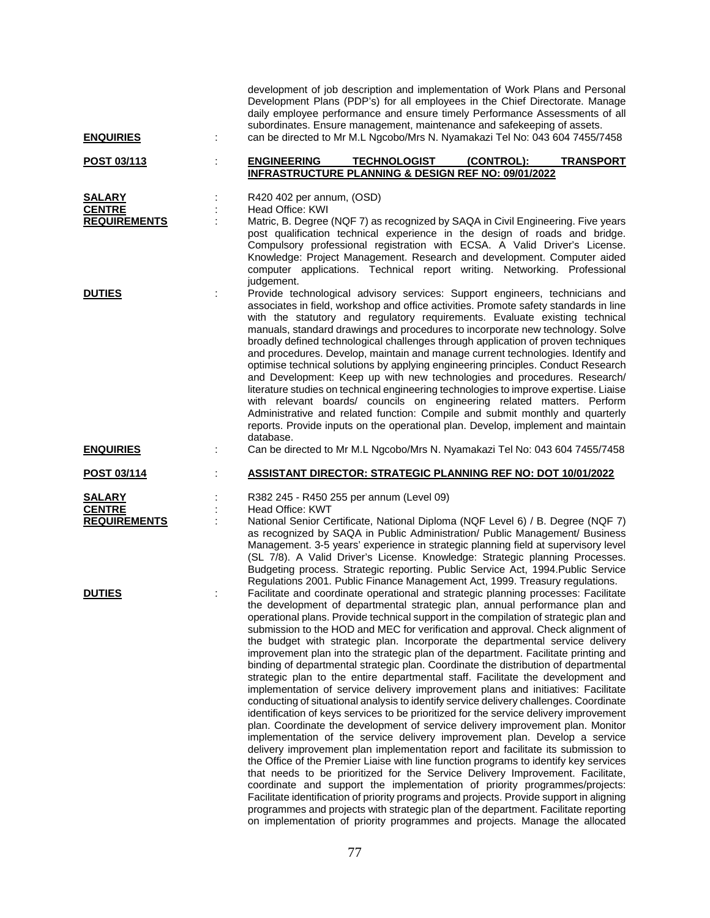|                     | development of job description and implementation of Work Plans and Personal<br>Development Plans (PDP's) for all employees in the Chief Directorate. Manage<br>daily employee performance and ensure timely Performance Assessments of all<br>subordinates. Ensure management, maintenance and safekeeping of assets.                                                                                                                                                                                                                                                                                                                                                                                                                                                                                                                                                                                                                                                                                                                                                                                                                                                                                                                                                                                                                                                                                                                                                               |
|---------------------|--------------------------------------------------------------------------------------------------------------------------------------------------------------------------------------------------------------------------------------------------------------------------------------------------------------------------------------------------------------------------------------------------------------------------------------------------------------------------------------------------------------------------------------------------------------------------------------------------------------------------------------------------------------------------------------------------------------------------------------------------------------------------------------------------------------------------------------------------------------------------------------------------------------------------------------------------------------------------------------------------------------------------------------------------------------------------------------------------------------------------------------------------------------------------------------------------------------------------------------------------------------------------------------------------------------------------------------------------------------------------------------------------------------------------------------------------------------------------------------|
| <b>ENQUIRIES</b>    | can be directed to Mr M.L Ngcobo/Mrs N. Nyamakazi Tel No: 043 604 7455/7458                                                                                                                                                                                                                                                                                                                                                                                                                                                                                                                                                                                                                                                                                                                                                                                                                                                                                                                                                                                                                                                                                                                                                                                                                                                                                                                                                                                                          |
| POST 03/113         | <b>ENGINEERING</b><br><b>TECHNOLOGIST</b><br>(CONTROL):<br><b>TRANSPORT</b><br><b>INFRASTRUCTURE PLANNING &amp; DESIGN REF NO: 09/01/2022</b>                                                                                                                                                                                                                                                                                                                                                                                                                                                                                                                                                                                                                                                                                                                                                                                                                                                                                                                                                                                                                                                                                                                                                                                                                                                                                                                                        |
| <b>SALARY</b>       | R420 402 per annum, (OSD)                                                                                                                                                                                                                                                                                                                                                                                                                                                                                                                                                                                                                                                                                                                                                                                                                                                                                                                                                                                                                                                                                                                                                                                                                                                                                                                                                                                                                                                            |
| <b>CENTRE</b>       | Head Office: KWI                                                                                                                                                                                                                                                                                                                                                                                                                                                                                                                                                                                                                                                                                                                                                                                                                                                                                                                                                                                                                                                                                                                                                                                                                                                                                                                                                                                                                                                                     |
| <b>REQUIREMENTS</b> | Matric, B. Degree (NQF 7) as recognized by SAQA in Civil Engineering. Five years                                                                                                                                                                                                                                                                                                                                                                                                                                                                                                                                                                                                                                                                                                                                                                                                                                                                                                                                                                                                                                                                                                                                                                                                                                                                                                                                                                                                     |
|                     | post qualification technical experience in the design of roads and bridge.<br>Compulsory professional registration with ECSA. A Valid Driver's License.<br>Knowledge: Project Management. Research and development. Computer aided<br>computer applications. Technical report writing. Networking. Professional<br>judgement.                                                                                                                                                                                                                                                                                                                                                                                                                                                                                                                                                                                                                                                                                                                                                                                                                                                                                                                                                                                                                                                                                                                                                        |
| <b>DUTIES</b>       | Provide technological advisory services: Support engineers, technicians and<br>associates in field, workshop and office activities. Promote safety standards in line<br>with the statutory and regulatory requirements. Evaluate existing technical<br>manuals, standard drawings and procedures to incorporate new technology. Solve<br>broadly defined technological challenges through application of proven techniques<br>and procedures. Develop, maintain and manage current technologies. Identify and<br>optimise technical solutions by applying engineering principles. Conduct Research<br>and Development: Keep up with new technologies and procedures. Research/<br>literature studies on technical engineering technologies to improve expertise. Liaise<br>with relevant boards/ councils on engineering related matters. Perform<br>Administrative and related function: Compile and submit monthly and quarterly<br>reports. Provide inputs on the operational plan. Develop, implement and maintain<br>database.                                                                                                                                                                                                                                                                                                                                                                                                                                                  |
| <b>ENQUIRIES</b>    | Can be directed to Mr M.L Ngcobo/Mrs N. Nyamakazi Tel No: 043 604 7455/7458                                                                                                                                                                                                                                                                                                                                                                                                                                                                                                                                                                                                                                                                                                                                                                                                                                                                                                                                                                                                                                                                                                                                                                                                                                                                                                                                                                                                          |
| POST 03/114         | <b>ASSISTANT DIRECTOR: STRATEGIC PLANNING REF NO: DOT 10/01/2022</b>                                                                                                                                                                                                                                                                                                                                                                                                                                                                                                                                                                                                                                                                                                                                                                                                                                                                                                                                                                                                                                                                                                                                                                                                                                                                                                                                                                                                                 |
| <b>SALARY</b>       | R382 245 - R450 255 per annum (Level 09)                                                                                                                                                                                                                                                                                                                                                                                                                                                                                                                                                                                                                                                                                                                                                                                                                                                                                                                                                                                                                                                                                                                                                                                                                                                                                                                                                                                                                                             |
| <b>CENTRE</b>       | Head Office: KWT                                                                                                                                                                                                                                                                                                                                                                                                                                                                                                                                                                                                                                                                                                                                                                                                                                                                                                                                                                                                                                                                                                                                                                                                                                                                                                                                                                                                                                                                     |
| <b>REQUIREMENTS</b> | National Senior Certificate, National Diploma (NQF Level 6) / B. Degree (NQF 7)<br>as recognized by SAQA in Public Administration/ Public Management/ Business<br>Management. 3-5 years' experience in strategic planning field at supervisory level<br>(SL 7/8). A Valid Driver's License. Knowledge: Strategic planning Processes.<br>Budgeting process. Strategic reporting. Public Service Act, 1994. Public Service<br>Regulations 2001. Public Finance Management Act, 1999. Treasury regulations.                                                                                                                                                                                                                                                                                                                                                                                                                                                                                                                                                                                                                                                                                                                                                                                                                                                                                                                                                                             |
| <b>DUTIES</b>       | Facilitate and coordinate operational and strategic planning processes: Facilitate<br>the development of departmental strategic plan, annual performance plan and<br>operational plans. Provide technical support in the compilation of strategic plan and<br>submission to the HOD and MEC for verification and approval. Check alignment of<br>the budget with strategic plan. Incorporate the departmental service delivery<br>improvement plan into the strategic plan of the department. Facilitate printing and<br>binding of departmental strategic plan. Coordinate the distribution of departmental<br>strategic plan to the entire departmental staff. Facilitate the development and<br>implementation of service delivery improvement plans and initiatives: Facilitate<br>conducting of situational analysis to identify service delivery challenges. Coordinate<br>identification of keys services to be prioritized for the service delivery improvement<br>plan. Coordinate the development of service delivery improvement plan. Monitor<br>implementation of the service delivery improvement plan. Develop a service<br>delivery improvement plan implementation report and facilitate its submission to<br>the Office of the Premier Liaise with line function programs to identify key services<br>that needs to be prioritized for the Service Delivery Improvement. Facilitate,<br>coordinate and support the implementation of priority programmes/projects: |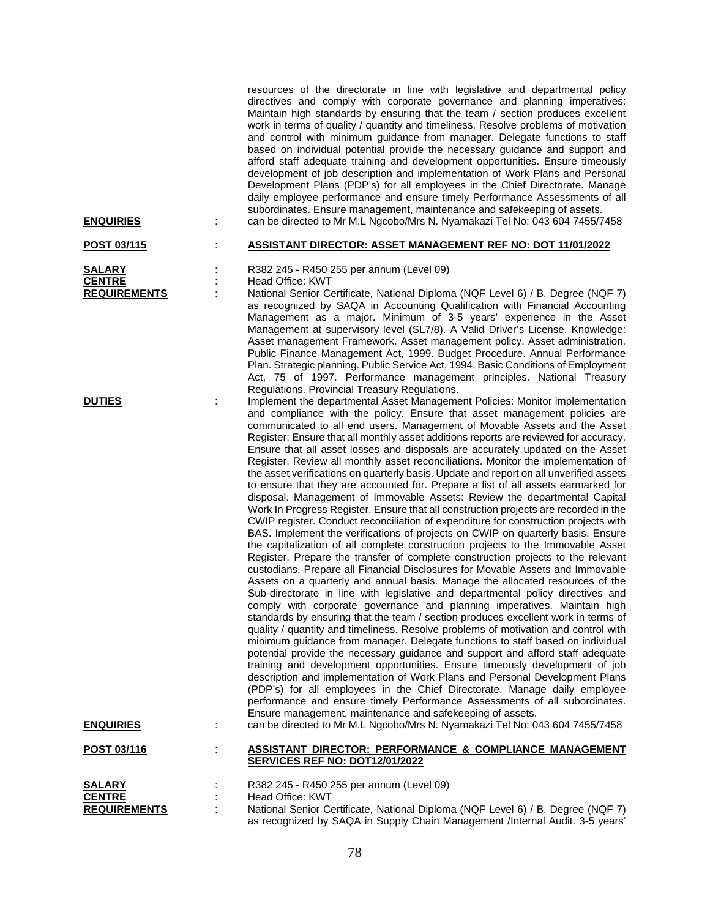| <b>ENQUIRIES</b>                                             | ÷ | resources of the directorate in line with legislative and departmental policy<br>directives and comply with corporate governance and planning imperatives:<br>Maintain high standards by ensuring that the team / section produces excellent<br>work in terms of quality / quantity and timeliness. Resolve problems of motivation<br>and control with minimum guidance from manager. Delegate functions to staff<br>based on individual potential provide the necessary guidance and support and<br>afford staff adequate training and development opportunities. Ensure timeously<br>development of job description and implementation of Work Plans and Personal<br>Development Plans (PDP's) for all employees in the Chief Directorate. Manage<br>daily employee performance and ensure timely Performance Assessments of all<br>subordinates. Ensure management, maintenance and safekeeping of assets.<br>can be directed to Mr M.L Ngcobo/Mrs N. Nyamakazi Tel No: 043 604 7455/7458                                                                                                                                                                                                                                                                                                                                                                                                                                                                                                                                                                                                                                                                                                                                                                                                                                                                                                                                                                                                                                                                                                                                                                                                                                                                                                                                                                                                                      |
|--------------------------------------------------------------|---|-------------------------------------------------------------------------------------------------------------------------------------------------------------------------------------------------------------------------------------------------------------------------------------------------------------------------------------------------------------------------------------------------------------------------------------------------------------------------------------------------------------------------------------------------------------------------------------------------------------------------------------------------------------------------------------------------------------------------------------------------------------------------------------------------------------------------------------------------------------------------------------------------------------------------------------------------------------------------------------------------------------------------------------------------------------------------------------------------------------------------------------------------------------------------------------------------------------------------------------------------------------------------------------------------------------------------------------------------------------------------------------------------------------------------------------------------------------------------------------------------------------------------------------------------------------------------------------------------------------------------------------------------------------------------------------------------------------------------------------------------------------------------------------------------------------------------------------------------------------------------------------------------------------------------------------------------------------------------------------------------------------------------------------------------------------------------------------------------------------------------------------------------------------------------------------------------------------------------------------------------------------------------------------------------------------------------------------------------------------------------------------------------------------------|
| POST 03/115                                                  |   | <b>ASSISTANT DIRECTOR: ASSET MANAGEMENT REF NO: DOT 11/01/2022</b>                                                                                                                                                                                                                                                                                                                                                                                                                                                                                                                                                                                                                                                                                                                                                                                                                                                                                                                                                                                                                                                                                                                                                                                                                                                                                                                                                                                                                                                                                                                                                                                                                                                                                                                                                                                                                                                                                                                                                                                                                                                                                                                                                                                                                                                                                                                                                |
| <b>SALARY</b><br><b>CENTRE</b><br><b>REQUIREMENTS</b>        |   | R382 245 - R450 255 per annum (Level 09)<br>Head Office: KWT<br>National Senior Certificate, National Diploma (NQF Level 6) / B. Degree (NQF 7)<br>as recognized by SAQA in Accounting Qualification with Financial Accounting<br>Management as a major. Minimum of 3-5 years' experience in the Asset<br>Management at supervisory level (SL7/8). A Valid Driver's License. Knowledge:<br>Asset management Framework. Asset management policy. Asset administration.<br>Public Finance Management Act, 1999. Budget Procedure. Annual Performance<br>Plan. Strategic planning. Public Service Act, 1994. Basic Conditions of Employment<br>Act, 75 of 1997. Performance management principles. National Treasury                                                                                                                                                                                                                                                                                                                                                                                                                                                                                                                                                                                                                                                                                                                                                                                                                                                                                                                                                                                                                                                                                                                                                                                                                                                                                                                                                                                                                                                                                                                                                                                                                                                                                                 |
| <b>DUTIES</b><br><b>ENQUIRIES</b>                            |   | Regulations. Provincial Treasury Regulations.<br>Implement the departmental Asset Management Policies: Monitor implementation<br>and compliance with the policy. Ensure that asset management policies are<br>communicated to all end users. Management of Movable Assets and the Asset<br>Register: Ensure that all monthly asset additions reports are reviewed for accuracy.<br>Ensure that all asset losses and disposals are accurately updated on the Asset<br>Register. Review all monthly asset reconciliations. Monitor the implementation of<br>the asset verifications on quarterly basis. Update and report on all unverified assets<br>to ensure that they are accounted for. Prepare a list of all assets earmarked for<br>disposal. Management of Immovable Assets: Review the departmental Capital<br>Work In Progress Register. Ensure that all construction projects are recorded in the<br>CWIP register. Conduct reconciliation of expenditure for construction projects with<br>BAS. Implement the verifications of projects on CWIP on quarterly basis. Ensure<br>the capitalization of all complete construction projects to the Immovable Asset<br>Register. Prepare the transfer of complete construction projects to the relevant<br>custodians. Prepare all Financial Disclosures for Movable Assets and Immovable<br>Assets on a quarterly and annual basis. Manage the allocated resources of the<br>Sub-directorate in line with legislative and departmental policy directives and<br>comply with corporate governance and planning imperatives. Maintain high<br>standards by ensuring that the team / section produces excellent work in terms of<br>quality / quantity and timeliness. Resolve problems of motivation and control with<br>minimum guidance from manager. Delegate functions to staff based on individual<br>potential provide the necessary guidance and support and afford staff adequate<br>training and development opportunities. Ensure timeously development of job<br>description and implementation of Work Plans and Personal Development Plans<br>(PDP's) for all employees in the Chief Directorate. Manage daily employee<br>performance and ensure timely Performance Assessments of all subordinates.<br>Ensure management, maintenance and safekeeping of assets.<br>can be directed to Mr M.L Ngcobo/Mrs N. Nyamakazi Tel No: 043 604 7455/7458 |
| POST 03/116                                                  |   | <b>ASSISTANT DIRECTOR: PERFORMANCE &amp; COMPLIANCE MANAGEMENT</b>                                                                                                                                                                                                                                                                                                                                                                                                                                                                                                                                                                                                                                                                                                                                                                                                                                                                                                                                                                                                                                                                                                                                                                                                                                                                                                                                                                                                                                                                                                                                                                                                                                                                                                                                                                                                                                                                                                                                                                                                                                                                                                                                                                                                                                                                                                                                                |
|                                                              |   | SERVICES REF NO: DOT12/01/2022                                                                                                                                                                                                                                                                                                                                                                                                                                                                                                                                                                                                                                                                                                                                                                                                                                                                                                                                                                                                                                                                                                                                                                                                                                                                                                                                                                                                                                                                                                                                                                                                                                                                                                                                                                                                                                                                                                                                                                                                                                                                                                                                                                                                                                                                                                                                                                                    |
| <b>SALARY</b><br><b>CENTRE</b><br><b><i>DEOLIDEMENTS</i></b> |   | R382 245 - R450 255 per annum (Level 09)<br>Head Office: KWT<br>National Sepier Certificate, National Diplema (NOE Level 6) / R. Degree (NOE 7)                                                                                                                                                                                                                                                                                                                                                                                                                                                                                                                                                                                                                                                                                                                                                                                                                                                                                                                                                                                                                                                                                                                                                                                                                                                                                                                                                                                                                                                                                                                                                                                                                                                                                                                                                                                                                                                                                                                                                                                                                                                                                                                                                                                                                                                                   |

**REQUIREMENTS** : National Senior Certificate, National Diploma (NQF Level 6) / B. Degree (NQF 7) as recognized by SAQA in Supply Chain Management /Internal Audit. 3-5 years'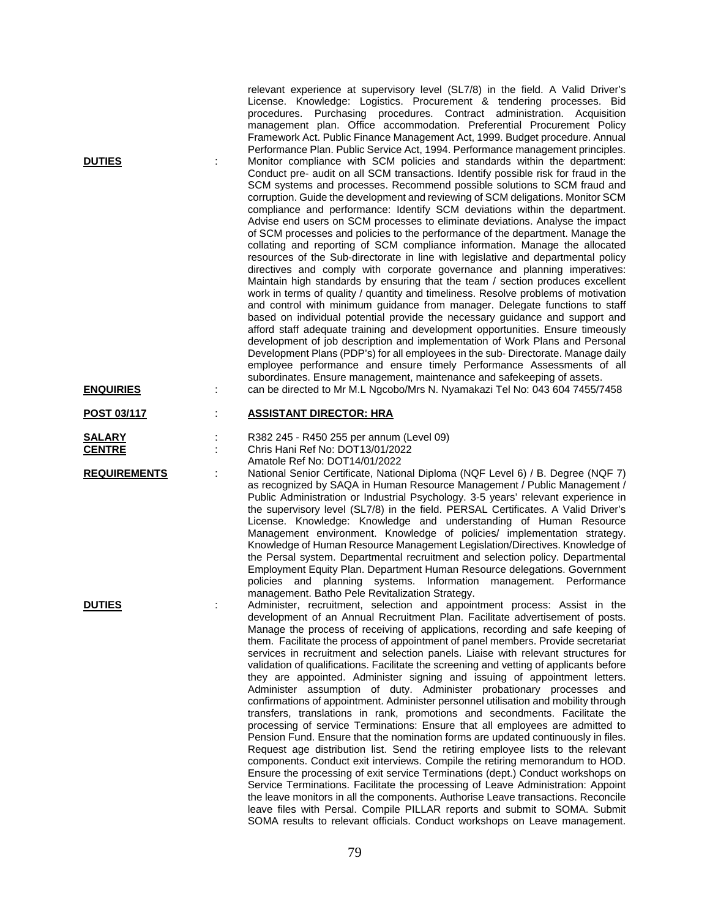relevant experience at supervisory level (SL7/8) in the field. A Valid Driver's License. Knowledge: Logistics. Procurement & tendering processes. Bid procedures. Purchasing procedures. Contract administration. Acquisition management plan. Office accommodation. Preferential Procurement Policy Framework Act. Public Finance Management Act, 1999. Budget procedure. Annual Performance Plan. Public Service Act, 1994. Performance management principles. **DUTIES** : Monitor compliance with SCM policies and standards within the department: Conduct pre- audit on all SCM transactions. Identify possible risk for fraud in the SCM systems and processes. Recommend possible solutions to SCM fraud and corruption. Guide the development and reviewing of SCM deligations. Monitor SCM compliance and performance: Identify SCM deviations within the department. Advise end users on SCM processes to eliminate deviations. Analyse the impact of SCM processes and policies to the performance of the department. Manage the collating and reporting of SCM compliance information. Manage the allocated resources of the Sub-directorate in line with legislative and departmental policy directives and comply with corporate governance and planning imperatives: Maintain high standards by ensuring that the team / section produces excellent work in terms of quality / quantity and timeliness. Resolve problems of motivation and control with minimum guidance from manager. Delegate functions to staff based on individual potential provide the necessary guidance and support and afford staff adequate training and development opportunities. Ensure timeously development of job description and implementation of Work Plans and Personal Development Plans (PDP's) for all employees in the sub- Directorate. Manage daily employee performance and ensure timely Performance Assessments of all subordinates. Ensure management, maintenance and safekeeping of assets. **ENQUIRIES** : can be directed to Mr M.L Ngcobo/Mrs N. Nyamakazi Tel No: 043 604 7455/7458 **POST 03/117** : **ASSISTANT DIRECTOR: HRA SALARY** : R382 245 - R450 255 per annum (Level 09)<br> **CENTRE** : Chris Hani Ref No: DOT13/01/2022 **CENTRE** : Chris Hani Ref No: DOT13/01/2022 Amatole Ref No: DOT14/01/2022 **REQUIREMENTS** : National Senior Certificate, National Diploma (NQF Level 6) / B. Degree (NQF 7) as recognized by SAQA in Human Resource Management / Public Management / Public Administration or Industrial Psychology. 3-5 years' relevant experience in the supervisory level (SL7/8) in the field. PERSAL Certificates. A Valid Driver's License. Knowledge: Knowledge and understanding of Human Resource Management environment. Knowledge of policies/ implementation strategy. Knowledge of Human Resource Management Legislation/Directives. Knowledge of the Persal system. Departmental recruitment and selection policy. Departmental Employment Equity Plan. Department Human Resource delegations. Government policies and planning systems. Information management. Performance management. Batho Pele Revitalization Strategy. **DUTIES** : Administer, recruitment, selection and appointment process: Assist in the development of an Annual Recruitment Plan. Facilitate advertisement of posts. Manage the process of receiving of applications, recording and safe keeping of them. Facilitate the process of appointment of panel members. Provide secretariat services in recruitment and selection panels. Liaise with relevant structures for validation of qualifications. Facilitate the screening and vetting of applicants before they are appointed. Administer signing and issuing of appointment letters. Administer assumption of duty. Administer probationary processes and confirmations of appointment. Administer personnel utilisation and mobility through transfers, translations in rank, promotions and secondments. Facilitate the processing of service Terminations: Ensure that all employees are admitted to Pension Fund. Ensure that the nomination forms are updated continuously in files. Request age distribution list. Send the retiring employee lists to the relevant components. Conduct exit interviews. Compile the retiring memorandum to HOD. Ensure the processing of exit service Terminations (dept.) Conduct workshops on Service Terminations. Facilitate the processing of Leave Administration: Appoint the leave monitors in all the components. Authorise Leave transactions. Reconcile

79

leave files with Persal. Compile PILLAR reports and submit to SOMA. Submit SOMA results to relevant officials. Conduct workshops on Leave management.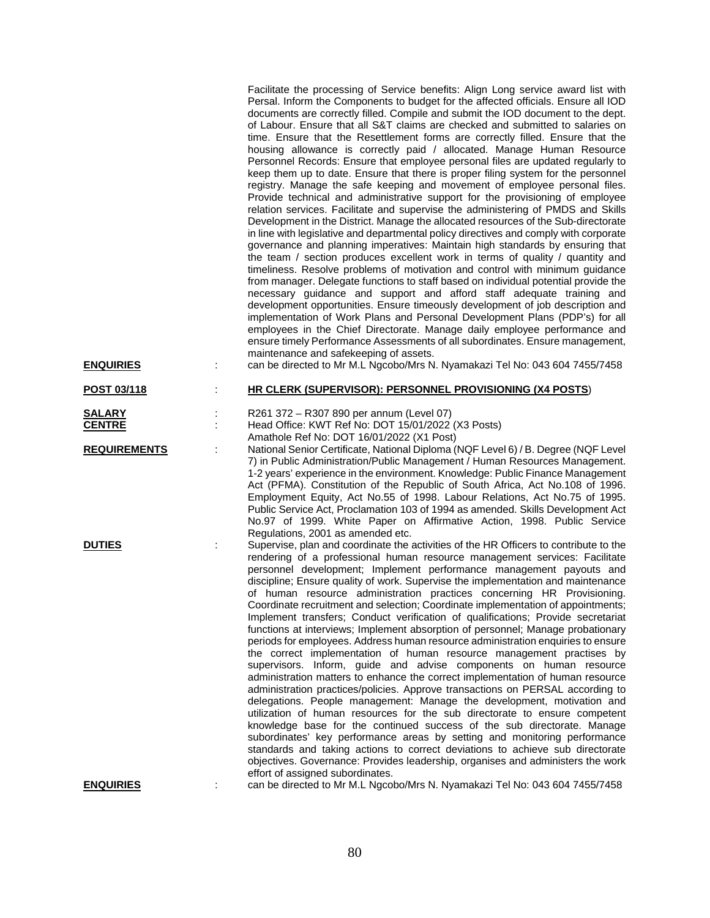| <u>ENQUIRIES</u>               | Facilitate the processing of Service benefits: Align Long service award list with<br>Persal. Inform the Components to budget for the affected officials. Ensure all IOD<br>documents are correctly filled. Compile and submit the IOD document to the dept.<br>of Labour. Ensure that all S&T claims are checked and submitted to salaries on<br>time. Ensure that the Resettlement forms are correctly filled. Ensure that the<br>housing allowance is correctly paid / allocated. Manage Human Resource<br>Personnel Records: Ensure that employee personal files are updated regularly to<br>keep them up to date. Ensure that there is proper filing system for the personnel<br>registry. Manage the safe keeping and movement of employee personal files.<br>Provide technical and administrative support for the provisioning of employee<br>relation services. Facilitate and supervise the administering of PMDS and Skills<br>Development in the District. Manage the allocated resources of the Sub-directorate<br>in line with legislative and departmental policy directives and comply with corporate<br>governance and planning imperatives: Maintain high standards by ensuring that<br>the team / section produces excellent work in terms of quality / quantity and<br>timeliness. Resolve problems of motivation and control with minimum guidance<br>from manager. Delegate functions to staff based on individual potential provide the<br>necessary guidance and support and afford staff adequate training and<br>development opportunities. Ensure timeously development of job description and<br>implementation of Work Plans and Personal Development Plans (PDP's) for all<br>employees in the Chief Directorate. Manage daily employee performance and<br>ensure timely Performance Assessments of all subordinates. Ensure management,<br>maintenance and safekeeping of assets.<br>can be directed to Mr M.L Ngcobo/Mrs N. Nyamakazi Tel No: 043 604 7455/7458 |
|--------------------------------|-----------------------------------------------------------------------------------------------------------------------------------------------------------------------------------------------------------------------------------------------------------------------------------------------------------------------------------------------------------------------------------------------------------------------------------------------------------------------------------------------------------------------------------------------------------------------------------------------------------------------------------------------------------------------------------------------------------------------------------------------------------------------------------------------------------------------------------------------------------------------------------------------------------------------------------------------------------------------------------------------------------------------------------------------------------------------------------------------------------------------------------------------------------------------------------------------------------------------------------------------------------------------------------------------------------------------------------------------------------------------------------------------------------------------------------------------------------------------------------------------------------------------------------------------------------------------------------------------------------------------------------------------------------------------------------------------------------------------------------------------------------------------------------------------------------------------------------------------------------------------------------------------------------------------------------------------------------------------------------------------|
| POST 03/118                    | HR CLERK (SUPERVISOR): PERSONNEL PROVISIONING (X4 POSTS)                                                                                                                                                                                                                                                                                                                                                                                                                                                                                                                                                                                                                                                                                                                                                                                                                                                                                                                                                                                                                                                                                                                                                                                                                                                                                                                                                                                                                                                                                                                                                                                                                                                                                                                                                                                                                                                                                                                                      |
| <b>SALARY</b><br><b>CENTRE</b> | R261 372 - R307 890 per annum (Level 07)<br>Head Office: KWT Ref No: DOT 15/01/2022 (X3 Posts)<br>Amathole Ref No: DOT 16/01/2022 (X1 Post)                                                                                                                                                                                                                                                                                                                                                                                                                                                                                                                                                                                                                                                                                                                                                                                                                                                                                                                                                                                                                                                                                                                                                                                                                                                                                                                                                                                                                                                                                                                                                                                                                                                                                                                                                                                                                                                   |
| <b>REQUIREMENTS</b>            | National Senior Certificate, National Diploma (NQF Level 6) / B. Degree (NQF Level<br>7) in Public Administration/Public Management / Human Resources Management.<br>1-2 years' experience in the environment. Knowledge: Public Finance Management<br>Act (PFMA). Constitution of the Republic of South Africa, Act No.108 of 1996.<br>Employment Equity, Act No.55 of 1998. Labour Relations, Act No.75 of 1995.<br>Public Service Act, Proclamation 103 of 1994 as amended. Skills Development Act<br>No.97 of 1999. White Paper on Affirmative Action, 1998. Public Service<br>Regulations, 2001 as amended etc.                                                                                                                                                                                                                                                                                                                                                                                                                                                                                                                                                                                                                                                                                                                                                                                                                                                                                                                                                                                                                                                                                                                                                                                                                                                                                                                                                                          |
| <b>DUTIES</b>                  | Supervise, plan and coordinate the activities of the HR Officers to contribute to the<br>rendering of a professional human resource management services: Facilitate<br>personnel development; Implement performance management payouts and<br>discipline; Ensure quality of work. Supervise the implementation and maintenance<br>of human resource administration practices concerning HR Provisioning.<br>Coordinate recruitment and selection; Coordinate implementation of appointments;<br>Implement transfers; Conduct verification of qualifications; Provide secretariat<br>functions at interviews; Implement absorption of personnel; Manage probationary<br>periods for employees. Address human resource administration enquiries to ensure<br>the correct implementation of human resource management practises by<br>supervisors. Inform, guide and advise components on human resource<br>administration matters to enhance the correct implementation of human resource<br>administration practices/policies. Approve transactions on PERSAL according to<br>delegations. People management: Manage the development, motivation and<br>utilization of human resources for the sub directorate to ensure competent<br>knowledge base for the continued success of the sub directorate. Manage<br>subordinates' key performance areas by setting and monitoring performance<br>standards and taking actions to correct deviations to achieve sub directorate<br>objectives. Governance: Provides leadership, organises and administers the work<br>effort of assigned subordinates.                                                                                                                                                                                                                                                                                                                                                                                             |
| <b>ENQUIRIES</b>               | can be directed to Mr M.L Ngcobo/Mrs N. Nyamakazi Tel No: 043 604 7455/7458                                                                                                                                                                                                                                                                                                                                                                                                                                                                                                                                                                                                                                                                                                                                                                                                                                                                                                                                                                                                                                                                                                                                                                                                                                                                                                                                                                                                                                                                                                                                                                                                                                                                                                                                                                                                                                                                                                                   |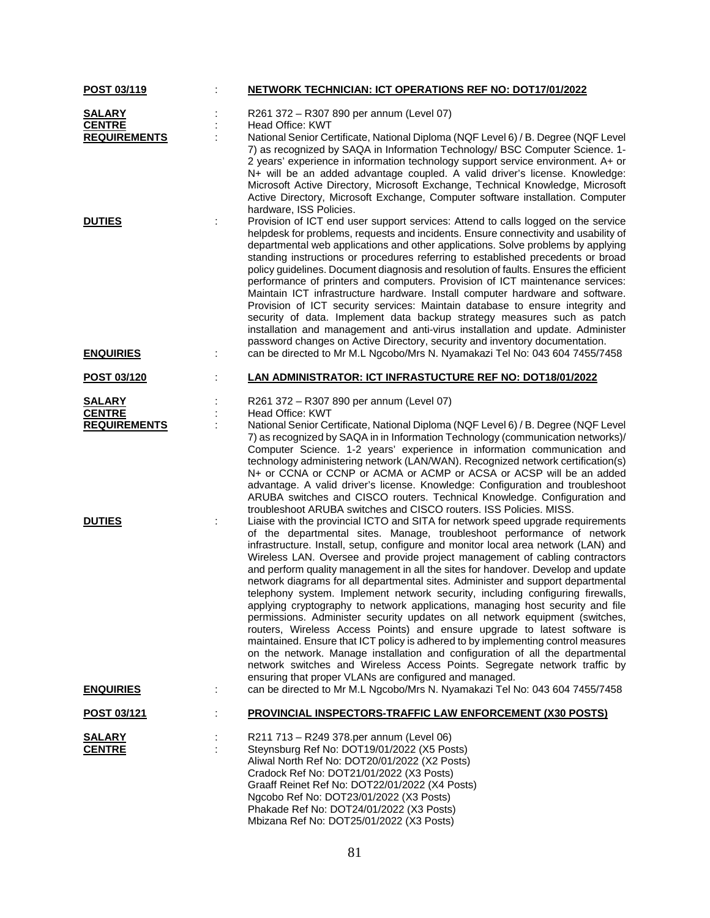| POST 03/119                       |   | NETWORK TECHNICIAN: ICT OPERATIONS REF NO: DOT17/01/2022                                                                                                                                                                                                                                                                                                                                                                                                                                                                                                                                                                                                                                                                                                                                                                                                                                                                                                                                                                                                                                                                                             |
|-----------------------------------|---|------------------------------------------------------------------------------------------------------------------------------------------------------------------------------------------------------------------------------------------------------------------------------------------------------------------------------------------------------------------------------------------------------------------------------------------------------------------------------------------------------------------------------------------------------------------------------------------------------------------------------------------------------------------------------------------------------------------------------------------------------------------------------------------------------------------------------------------------------------------------------------------------------------------------------------------------------------------------------------------------------------------------------------------------------------------------------------------------------------------------------------------------------|
| <b>SALARY</b>                     |   | R261 372 - R307 890 per annum (Level 07)                                                                                                                                                                                                                                                                                                                                                                                                                                                                                                                                                                                                                                                                                                                                                                                                                                                                                                                                                                                                                                                                                                             |
| <b>CENTRE</b>                     |   | Head Office: KWT                                                                                                                                                                                                                                                                                                                                                                                                                                                                                                                                                                                                                                                                                                                                                                                                                                                                                                                                                                                                                                                                                                                                     |
| <b>REQUIREMENTS</b>               |   | National Senior Certificate, National Diploma (NQF Level 6) / B. Degree (NQF Level<br>7) as recognized by SAQA in Information Technology/ BSC Computer Science. 1-<br>2 years' experience in information technology support service environment. A+ or<br>N+ will be an added advantage coupled. A valid driver's license. Knowledge:<br>Microsoft Active Directory, Microsoft Exchange, Technical Knowledge, Microsoft<br>Active Directory, Microsoft Exchange, Computer software installation. Computer<br>hardware, ISS Policies.                                                                                                                                                                                                                                                                                                                                                                                                                                                                                                                                                                                                                 |
| <b>DUTIES</b><br><b>ENQUIRIES</b> |   | Provision of ICT end user support services: Attend to calls logged on the service<br>helpdesk for problems, requests and incidents. Ensure connectivity and usability of<br>departmental web applications and other applications. Solve problems by applying<br>standing instructions or procedures referring to established precedents or broad<br>policy guidelines. Document diagnosis and resolution of faults. Ensures the efficient<br>performance of printers and computers. Provision of ICT maintenance services:<br>Maintain ICT infrastructure hardware. Install computer hardware and software.<br>Provision of ICT security services: Maintain database to ensure integrity and<br>security of data. Implement data backup strategy measures such as patch<br>installation and management and anti-virus installation and update. Administer<br>password changes on Active Directory, security and inventory documentation.<br>can be directed to Mr M.L Ngcobo/Mrs N. Nyamakazi Tel No: 043 604 7455/7458                                                                                                                              |
|                                   |   | LAN ADMINISTRATOR: ICT INFRASTUCTURE REF NO: DOT18/01/2022                                                                                                                                                                                                                                                                                                                                                                                                                                                                                                                                                                                                                                                                                                                                                                                                                                                                                                                                                                                                                                                                                           |
| POST 03/120                       |   |                                                                                                                                                                                                                                                                                                                                                                                                                                                                                                                                                                                                                                                                                                                                                                                                                                                                                                                                                                                                                                                                                                                                                      |
| <b>SALARY</b>                     |   | R261 372 - R307 890 per annum (Level 07)                                                                                                                                                                                                                                                                                                                                                                                                                                                                                                                                                                                                                                                                                                                                                                                                                                                                                                                                                                                                                                                                                                             |
| <b>CENTRE</b>                     |   | Head Office: KWT                                                                                                                                                                                                                                                                                                                                                                                                                                                                                                                                                                                                                                                                                                                                                                                                                                                                                                                                                                                                                                                                                                                                     |
| <b>REQUIREMENTS</b>               |   | National Senior Certificate, National Diploma (NQF Level 6) / B. Degree (NQF Level<br>7) as recognized by SAQA in in Information Technology (communication networks)/<br>Computer Science. 1-2 years' experience in information communication and<br>technology administering network (LAN/WAN). Recognized network certification(s)<br>N+ or CCNA or CCNP or ACMA or ACMP or ACSA or ACSP will be an added<br>advantage. A valid driver's license. Knowledge: Configuration and troubleshoot<br>ARUBA switches and CISCO routers. Technical Knowledge. Configuration and<br>troubleshoot ARUBA switches and CISCO routers. ISS Policies. MISS.                                                                                                                                                                                                                                                                                                                                                                                                                                                                                                      |
| <b>DUTIES</b>                     |   | Liaise with the provincial ICTO and SITA for network speed upgrade requirements<br>of the departmental sites. Manage, troubleshoot performance of network<br>infrastructure. Install, setup, configure and monitor local area network (LAN) and<br>Wireless LAN. Oversee and provide project management of cabling contractors<br>and perform quality management in all the sites for handover. Develop and update<br>network diagrams for all departmental sites. Administer and support departmental<br>telephony system. Implement network security, including configuring firewalls,<br>applying cryptography to network applications, managing host security and file<br>permissions. Administer security updates on all network equipment (switches,<br>routers, Wireless Access Points) and ensure upgrade to latest software is<br>maintained. Ensure that ICT policy is adhered to by implementing control measures<br>on the network. Manage installation and configuration of all the departmental<br>network switches and Wireless Access Points. Segregate network traffic by<br>ensuring that proper VLANs are configured and managed. |
| <b>ENQUIRIES</b>                  | ÷ | can be directed to Mr M.L Ngcobo/Mrs N. Nyamakazi Tel No: 043 604 7455/7458                                                                                                                                                                                                                                                                                                                                                                                                                                                                                                                                                                                                                                                                                                                                                                                                                                                                                                                                                                                                                                                                          |
| <u>POST 03/121</u>                |   | <b>PROVINCIAL INSPECTORS-TRAFFIC LAW ENFORCEMENT (X30 POSTS)</b>                                                                                                                                                                                                                                                                                                                                                                                                                                                                                                                                                                                                                                                                                                                                                                                                                                                                                                                                                                                                                                                                                     |
| <b>SALARY</b><br><b>CENTRE</b>    |   | R211 713 - R249 378.per annum (Level 06)<br>Steynsburg Ref No: DOT19/01/2022 (X5 Posts)<br>Aliwal North Ref No: DOT20/01/2022 (X2 Posts)<br>Cradock Ref No: DOT21/01/2022 (X3 Posts)<br>Graaff Reinet Ref No: DOT22/01/2022 (X4 Posts)<br>Ngcobo Ref No: DOT23/01/2022 (X3 Posts)<br>Phakade Ref No: DOT24/01/2022 (X3 Posts)<br>Mbizana Ref No: DOT25/01/2022 (X3 Posts)                                                                                                                                                                                                                                                                                                                                                                                                                                                                                                                                                                                                                                                                                                                                                                            |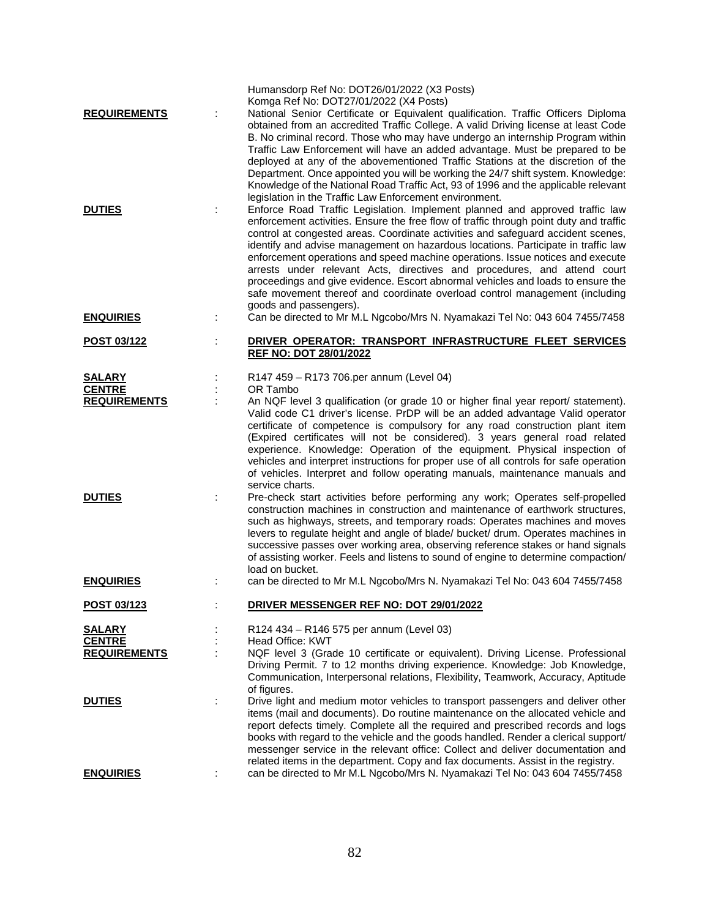| <b>REQUIREMENTS</b><br><b>DUTIES</b>                                                       |   | Humansdorp Ref No: DOT26/01/2022 (X3 Posts)<br>Komga Ref No: DOT27/01/2022 (X4 Posts)<br>National Senior Certificate or Equivalent qualification. Traffic Officers Diploma<br>obtained from an accredited Traffic College. A valid Driving license at least Code<br>B. No criminal record. Those who may have undergo an internship Program within<br>Traffic Law Enforcement will have an added advantage. Must be prepared to be<br>deployed at any of the abovementioned Traffic Stations at the discretion of the<br>Department. Once appointed you will be working the 24/7 shift system. Knowledge:<br>Knowledge of the National Road Traffic Act, 93 of 1996 and the applicable relevant<br>legislation in the Traffic Law Enforcement environment.<br>Enforce Road Traffic Legislation. Implement planned and approved traffic law<br>enforcement activities. Ensure the free flow of traffic through point duty and traffic<br>control at congested areas. Coordinate activities and safeguard accident scenes,<br>identify and advise management on hazardous locations. Participate in traffic law<br>enforcement operations and speed machine operations. Issue notices and execute<br>arrests under relevant Acts, directives and procedures, and attend court<br>proceedings and give evidence. Escort abnormal vehicles and loads to ensure the<br>safe movement thereof and coordinate overload control management (including |
|--------------------------------------------------------------------------------------------|---|-----------------------------------------------------------------------------------------------------------------------------------------------------------------------------------------------------------------------------------------------------------------------------------------------------------------------------------------------------------------------------------------------------------------------------------------------------------------------------------------------------------------------------------------------------------------------------------------------------------------------------------------------------------------------------------------------------------------------------------------------------------------------------------------------------------------------------------------------------------------------------------------------------------------------------------------------------------------------------------------------------------------------------------------------------------------------------------------------------------------------------------------------------------------------------------------------------------------------------------------------------------------------------------------------------------------------------------------------------------------------------------------------------------------------------------------------|
| <b>ENQUIRIES</b>                                                                           |   | goods and passengers).<br>Can be directed to Mr M.L Ngcobo/Mrs N. Nyamakazi Tel No: 043 604 7455/7458                                                                                                                                                                                                                                                                                                                                                                                                                                                                                                                                                                                                                                                                                                                                                                                                                                                                                                                                                                                                                                                                                                                                                                                                                                                                                                                                         |
| POST 03/122                                                                                |   | DRIVER OPERATOR: TRANSPORT INFRASTRUCTURE FLEET SERVICES<br><b>REF NO: DOT 28/01/2022</b>                                                                                                                                                                                                                                                                                                                                                                                                                                                                                                                                                                                                                                                                                                                                                                                                                                                                                                                                                                                                                                                                                                                                                                                                                                                                                                                                                     |
| <b>SALARY</b><br><b>CENTRE</b><br><b>REQUIREMENTS</b><br><b>DUTIES</b><br><b>ENQUIRIES</b> |   | R147 459 - R173 706.per annum (Level 04)<br>OR Tambo<br>An NQF level 3 qualification (or grade 10 or higher final year report/ statement).<br>Valid code C1 driver's license. PrDP will be an added advantage Valid operator<br>certificate of competence is compulsory for any road construction plant item<br>(Expired certificates will not be considered). 3 years general road related<br>experience. Knowledge: Operation of the equipment. Physical inspection of<br>vehicles and interpret instructions for proper use of all controls for safe operation<br>of vehicles. Interpret and follow operating manuals, maintenance manuals and<br>service charts.<br>Pre-check start activities before performing any work; Operates self-propelled<br>construction machines in construction and maintenance of earthwork structures,<br>such as highways, streets, and temporary roads: Operates machines and moves<br>levers to regulate height and angle of blade/ bucket/ drum. Operates machines in<br>successive passes over working area, observing reference stakes or hand signals<br>of assisting worker. Feels and listens to sound of engine to determine compaction/<br>load on bucket.<br>can be directed to Mr M.L Ngcobo/Mrs N. Nyamakazi Tel No: 043 604 7455/7458                                                                                                                                                        |
| POST 03/123                                                                                |   | DRIVER MESSENGER REF NO: DOT 29/01/2022                                                                                                                                                                                                                                                                                                                                                                                                                                                                                                                                                                                                                                                                                                                                                                                                                                                                                                                                                                                                                                                                                                                                                                                                                                                                                                                                                                                                       |
| <b>SALARY</b><br><b>CENTRE</b><br><b>REQUIREMENTS</b>                                      |   | R124 434 - R146 575 per annum (Level 03)<br>Head Office: KWT<br>NQF level 3 (Grade 10 certificate or equivalent). Driving License. Professional<br>Driving Permit. 7 to 12 months driving experience. Knowledge: Job Knowledge,<br>Communication, Interpersonal relations, Flexibility, Teamwork, Accuracy, Aptitude<br>of figures.                                                                                                                                                                                                                                                                                                                                                                                                                                                                                                                                                                                                                                                                                                                                                                                                                                                                                                                                                                                                                                                                                                           |
| <b>DUTIES</b><br><b>ENQUIRIES</b>                                                          | ÷ | Drive light and medium motor vehicles to transport passengers and deliver other<br>items (mail and documents). Do routine maintenance on the allocated vehicle and<br>report defects timely. Complete all the required and prescribed records and logs<br>books with regard to the vehicle and the goods handled. Render a clerical support/<br>messenger service in the relevant office: Collect and deliver documentation and<br>related items in the department. Copy and fax documents. Assist in the registry.<br>can be directed to Mr M.L Ngcobo/Mrs N. Nyamakazi Tel No: 043 604 7455/7458                                                                                                                                                                                                                                                                                                                                                                                                                                                                                                                                                                                                                                                                                                                                                                                                                                            |